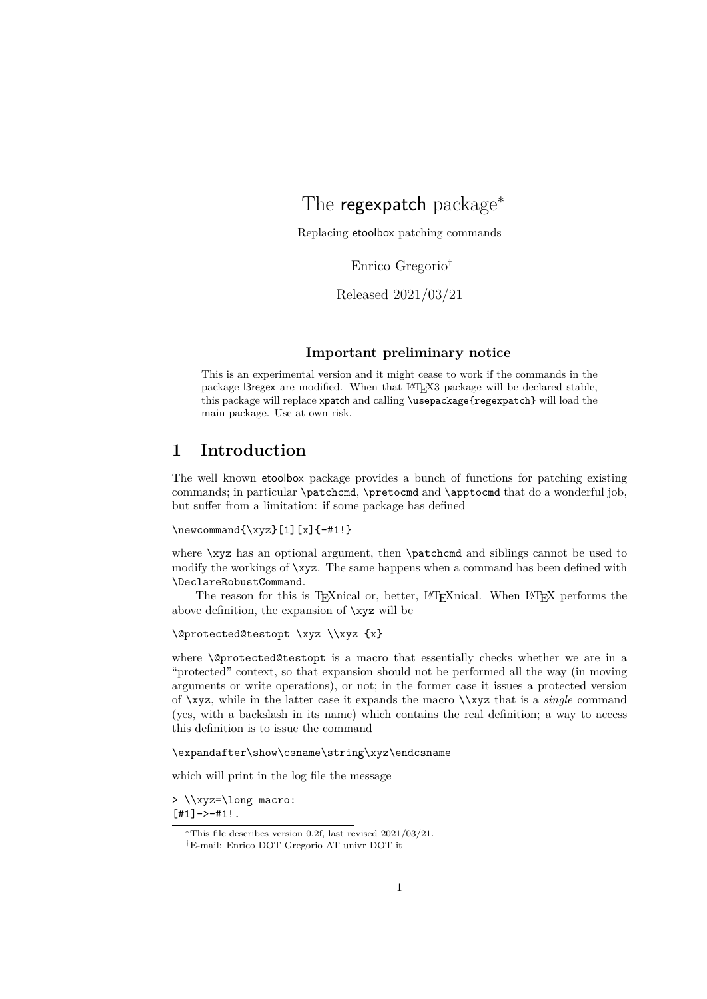# <span id="page-0-0"></span>The regexpatch package<sup>\*</sup>

Replacing etoolbox patching commands

Enrico Gregorio†

Released 2021/03/21

#### **Important preliminary notice**

This is an experimental version and it might cease to work if the commands in the package l3regex are modified. When that L<sup>AT</sup>EX3 package will be declared stable, this package will replace xpatch and calling \usepackage{regexpatch} will load the main package. Use at own risk.

# **1 Introduction**

The well known etoolbox package provides a bunch of functions for patching existing commands; in particular \patchcmd, \pretocmd and \apptocmd that do a wonderful job, but suffer from a limitation: if some package has defined

```
\newcommand{\xys}[1][x]{-#1!}
```
where \xyz has an optional argument, then \patchcmd and siblings cannot be used to modify the workings of \xyz. The same happens when a command has been defined with \DeclareRobustCommand.

The reason for this is T<sub>F</sub>Xnical or, better, L<sup>AT</sup>FXnical. When L<sup>AT</sup>F<sub>X</sub> performs the above definition, the expansion of \xyz will be

\@protected@testopt \xyz \\xyz {x}

where \@protected@testopt is a macro that essentially checks whether we are in a "protected" context, so that expansion should not be performed all the way (in moving arguments or write operations), or not; in the former case it issues a protected version of \xyz, while in the latter case it expands the macro \\xyz that is a *single* command (yes, with a backslash in its name) which contains the real definition; a way to access this definition is to issue the command

#### \expandafter\show\csname\string\xyz\endcsname

which will print in the log file the message

> \\xyz=\long macro:  $[#1]$ ->-#1!.

<sup>∗</sup>This file describes version 0.2f, last revised 2021/03/21.

<sup>†</sup>E-mail: Enrico DOT Gregorio AT univr DOT it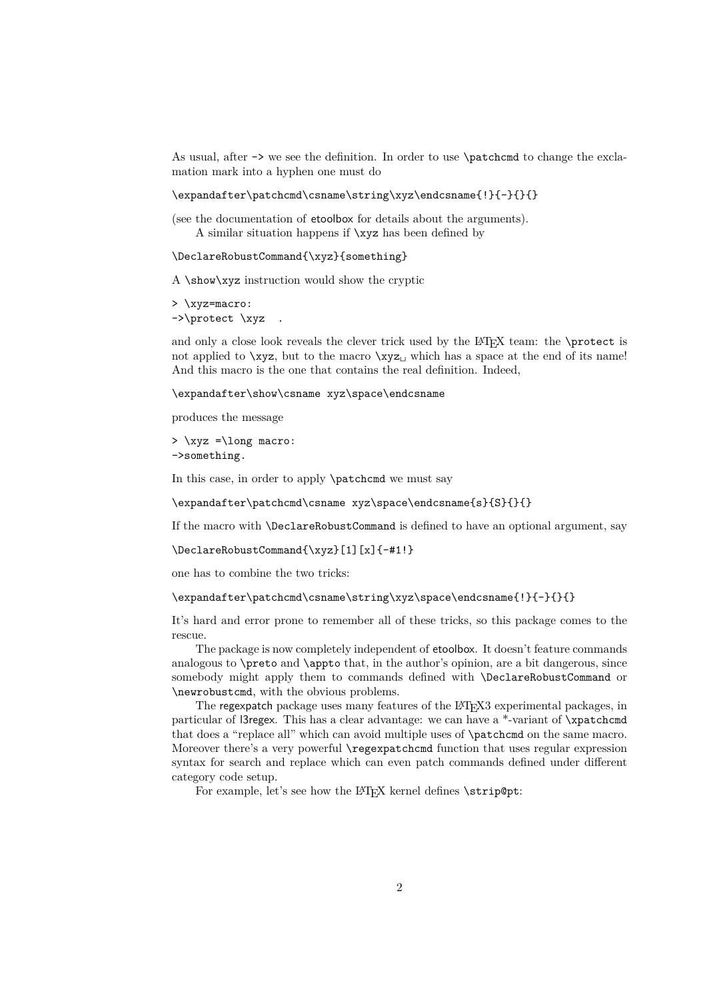As usual, after -> we see the definition. In order to use \patchcmd to change the exclamation mark into a hyphen one must do

\expandafter\patchcmd\csname\string\xyz\endcsname{!}{-}{}{}

(see the documentation of etoolbox for details about the arguments). A similar situation happens if \xyz has been defined by

\DeclareRobustCommand{\xyz}{something}

A \show\xyz instruction would show the cryptic

```
> \xyz=macro:
->\protect \xyz .
```
and only a close look reveals the clever trick used by the  $ETRX$  team: the  $\preccurlyeq$  by the  $ETRX$ not applied to  $\x{xyz}$ , but to the macro  $\x{xyz}$  which has a space at the end of its name! And this macro is the one that contains the real definition. Indeed,

\expandafter\show\csname xyz\space\endcsname

produces the message

```
> \xyz =\long macro:
->something.
```
In this case, in order to apply **\patchcmd** we must say

\expandafter\patchcmd\csname xyz\space\endcsname{s}{S}{}{}

If the macro with \DeclareRobustCommand is defined to have an optional argument, say

```
\DeclareRobustCommand{\xyz}[1][x]{-#1!}
```
one has to combine the two tricks:

\expandafter\patchcmd\csname\string\xyz\space\endcsname{!}{-}{}{}

It's hard and error prone to remember all of these tricks, so this package comes to the rescue.

The package is now completely independent of etoolbox. It doesn't feature commands analogous to \preto and \appto that, in the author's opinion, are a bit dangerous, since somebody might apply them to commands defined with \DeclareRobustCommand or \newrobustcmd, with the obvious problems.

The regexpatch package uses many features of the LATEX3 experimental packages, in particular of l3regex. This has a clear advantage: we can have a \*-variant of \xpatchcmd that does a "replace all" which can avoid multiple uses of \patchcmd on the same macro. Moreover there's a very powerful \regexpatchcmd function that uses regular expression syntax for search and replace which can even patch commands defined under different category code setup.

For example, let's see how the LAT<sub>E</sub>X kernel defines \strip@pt: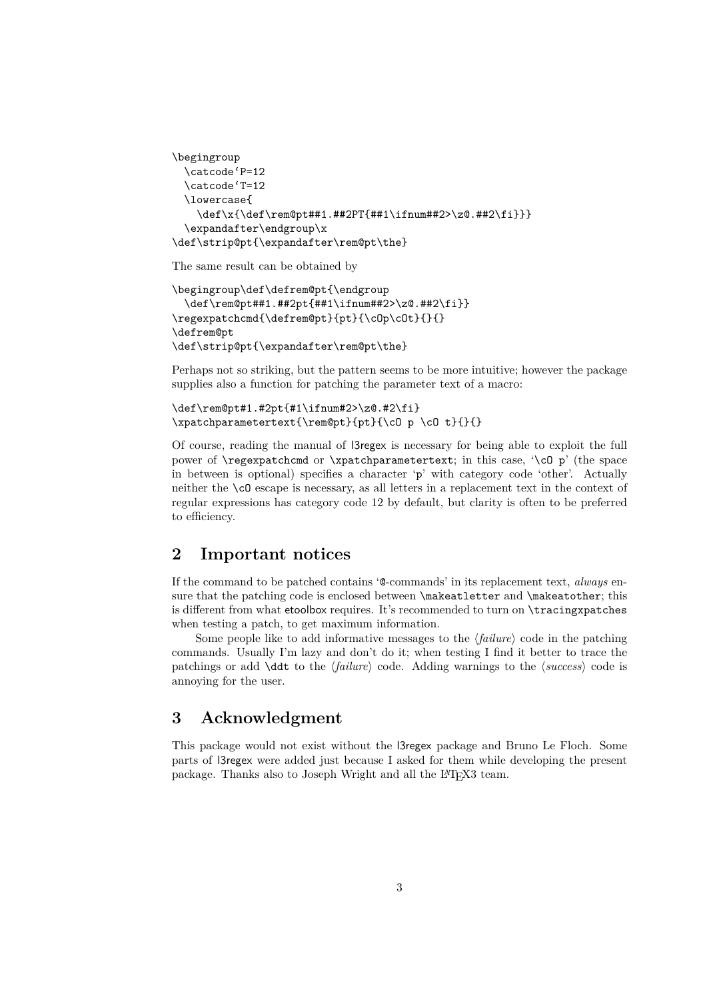```
\begingroup
 \catcode'P=12
 \catcode'T=12
 \lowercase{
   \def\x{\def\rem@pt##1.##2PT{##1\ifnum##2>\z@.##2\fi}}}
 \expandafter\endgroup\x
\def\strip@pt{\expandafter\rem@pt\the}
```
The same result can be obtained by

```
\begingroup\def\defrem@pt{\endgroup
 \def\rem@pt##1.##2pt{##1\ifnum##2>\z@.##2\fi}}
\regexpatchcmd{\defrem@pt}{pt}{\cOp\cOt}{}{}
\defrem@pt
\def\strip@pt{\expandafter\rem@pt\the}
```
Perhaps not so striking, but the pattern seems to be more intuitive; however the package supplies also a function for patching the parameter text of a macro:

```
\def\rem@pt#1.#2pt{#1\ifnum#2>\z@.#2\fi}
\xpatchparametertext{\rem@pt}{pt}{\cO p \cO t}{}{}
```
Of course, reading the manual of l3regex is necessary for being able to exploit the full power of **\regexpatchcmd** or **\xpatchparametertext**; in this case, **'\cO** p' (the space in between is optional) specifies a character 'p' with category code 'other'. Actually neither the \cO escape is necessary, as all letters in a replacement text in the context of regular expressions has category code 12 by default, but clarity is often to be preferred to efficiency.

# **2 Important notices**

If the command to be patched contains '@-commands' in its replacement text, *always* ensure that the patching code is enclosed between **\makeatletter** and **\makeatother**; this is different from what etoolbox requires. It's recommended to turn on \tracingxpatches when testing a patch, to get maximum information.

Some people like to add informative messages to the  $\langle failure \rangle$  code in the patching commands. Usually I'm lazy and don't do it; when testing I find it better to trace the patchings or add **\ddt** to the  $\langle failure \rangle$  code. Adding warnings to the  $\langle success \rangle$  code is annoying for the user.

# **3 Acknowledgment**

This package would not exist without the l3regex package and Bruno Le Floch. Some parts of l3regex were added just because I asked for them while developing the present package. Thanks also to Joseph Wright and all the L<sup>AT</sup>FX3 team.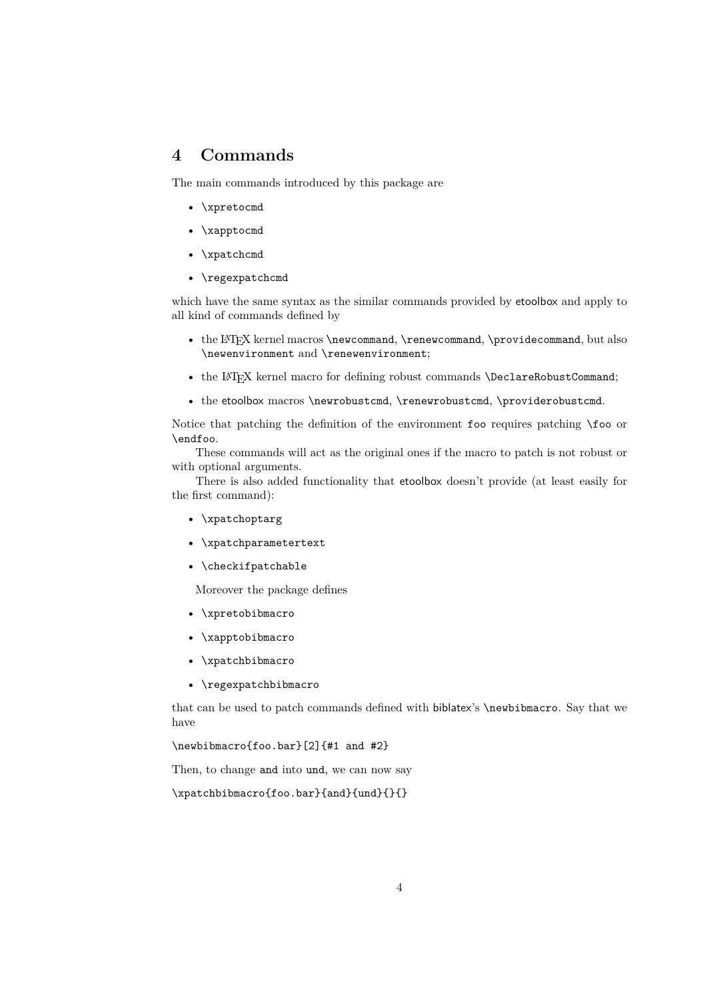# **4 Commands**

The main commands introduced by this package are

- \xpretocmd
- \xapptocmd
- \xpatchcmd
- \regexpatchcmd

which have the same syntax as the similar commands provided by etoolbox and apply to all kind of commands defined by

- the LAT<sub>E</sub>X kernel macros \newcommand, \renewcommand, \providecommand, but also \newenvironment and \renewenvironment;
- the LAT<sub>E</sub>X kernel macro for defining robust commands \DeclareRobustCommand;
- the etoolbox macros \newrobustcmd, \renewrobustcmd, \providerobustcmd.

Notice that patching the definition of the environment foo requires patching \foo or \endfoo.

These commands will act as the original ones if the macro to patch is not robust or with optional arguments.

There is also added functionality that etoolbox doesn't provide (at least easily for the first command):

- \xpatchoptarg
- \xpatchparametertext
- \checkifpatchable

Moreover the package defines

- \xpretobibmacro
- \xapptobibmacro
- \xpatchbibmacro
- \regexpatchbibmacro

that can be used to patch commands defined with biblatex's \newbibmacro. Say that we have

\newbibmacro{foo.bar}[2]{#1 and #2}

Then, to change and into und, we can now say

\xpatchbibmacro{foo.bar}{and}{und}{}{}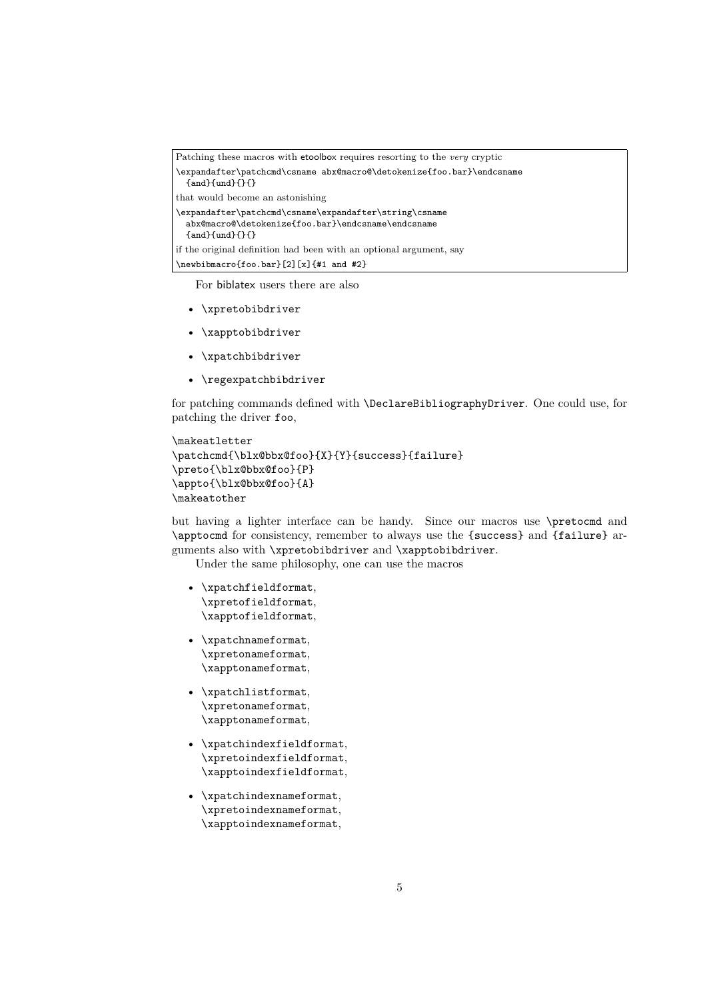```
Patching these macros with etoolbox requires resorting to the very cryptic
\expandafter\patchcmd\csname abx@macro@\detokenize{foo.bar}\endcsname
  {and}{und}{}{}that would become an astonishing
\expandafter\patchcmd\csname\expandafter\string\csname
  abx@macro@\detokenize{foo.bar}\endcsname\endcsname
  {and}{und}{}{}
if the original definition had been with an optional argument, say
\newbibmacro{foo.bar}[2][x]{#1 and #2}
```
For biblatex users there are also

- \xpretobibdriver
- \xapptobibdriver
- \xpatchbibdriver
- \regexpatchbibdriver

for patching commands defined with \DeclareBibliographyDriver. One could use, for patching the driver foo,

```
\makeatletter
\patchcmd{\blx@bbx@foo}{X}{Y}{success}{failure}
\preto{\blx@bbx@foo}{P}
\appto{\blx@bbx@foo}{A}
\makeatother
```
but having a lighter interface can be handy. Since our macros use \pretocmd and \apptocmd for consistency, remember to always use the {success} and {failure} arguments also with \xpretobibdriver and \xapptobibdriver.

Under the same philosophy, one can use the macros

- \xpatchfieldformat, \xpretofieldformat, \xapptofieldformat,
- \xpatchnameformat, \xpretonameformat, \xapptonameformat,
- \xpatchlistformat, \xpretonameformat, \xapptonameformat,
- \xpatchindexfieldformat, \xpretoindexfieldformat, \xapptoindexfieldformat,
- \xpatchindexnameformat, \xpretoindexnameformat, \xapptoindexnameformat,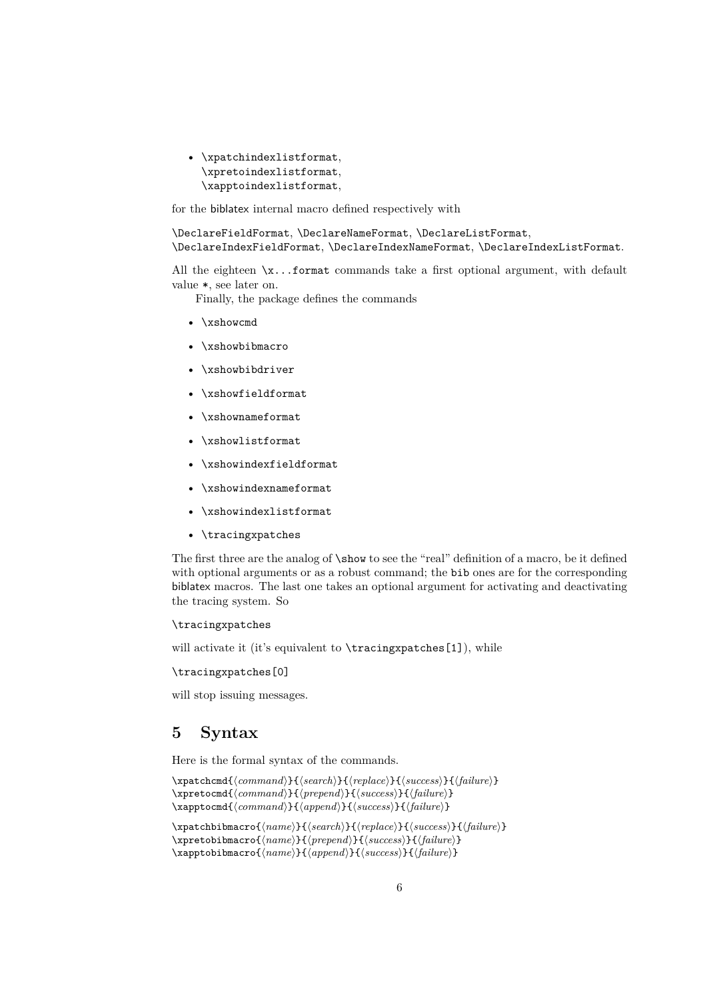• \xpatchindexlistformat, \xpretoindexlistformat, \xapptoindexlistformat,

for the biblatex internal macro defined respectively with

\DeclareFieldFormat, \DeclareNameFormat, \DeclareListFormat, \DeclareIndexFieldFormat, \DeclareIndexNameFormat, \DeclareIndexListFormat.

All the eighteen  $\x$ ...format commands take a first optional argument, with default value \*, see later on.

Finally, the package defines the commands

- \xshowcmd
- \xshowbibmacro
- \xshowbibdriver
- \xshowfieldformat
- \xshownameformat
- \xshowlistformat
- \xshowindexfieldformat
- \xshowindexnameformat
- \xshowindexlistformat
- \tracingxpatches

The first three are the analog of \show to see the "real" definition of a macro, be it defined with optional arguments or as a robust command; the bib ones are for the corresponding biblatex macros. The last one takes an optional argument for activating and deactivating the tracing system. So

#### \tracingxpatches

will activate it (it's equivalent to \tracingxpatches[1]), while

#### \tracingxpatches[0]

will stop issuing messages.

# **5 Syntax**

Here is the formal syntax of the commands.

```
\xpatchcmd{\langle command \rangle}{\langle search \rangle}{\replace}}{\success}}{\failure}}
\xpretocmd{\langle command \rangle}{\langle prepared \rangle}{\success}}{\failure}}
\xapptocmd{\langle command \rangle}{\langle append \rangle}{\success}}{\failure}}
```

```
\xpatchbibmacro{\langle name \rangle}{\langle search \rangle}{\langle replace \rangle}{\langle success \rangle}{\langle failure \rangle}
\xpretobibmacro{\langle name \rangle}{\langle prepend \rangle}{\langle success \rangle}{\langle failure \rangle}
\xapptobibmacro{\langle name \rangle}{\langle append \rangle}{\langle success \rangle}{\langle failure \rangle}
```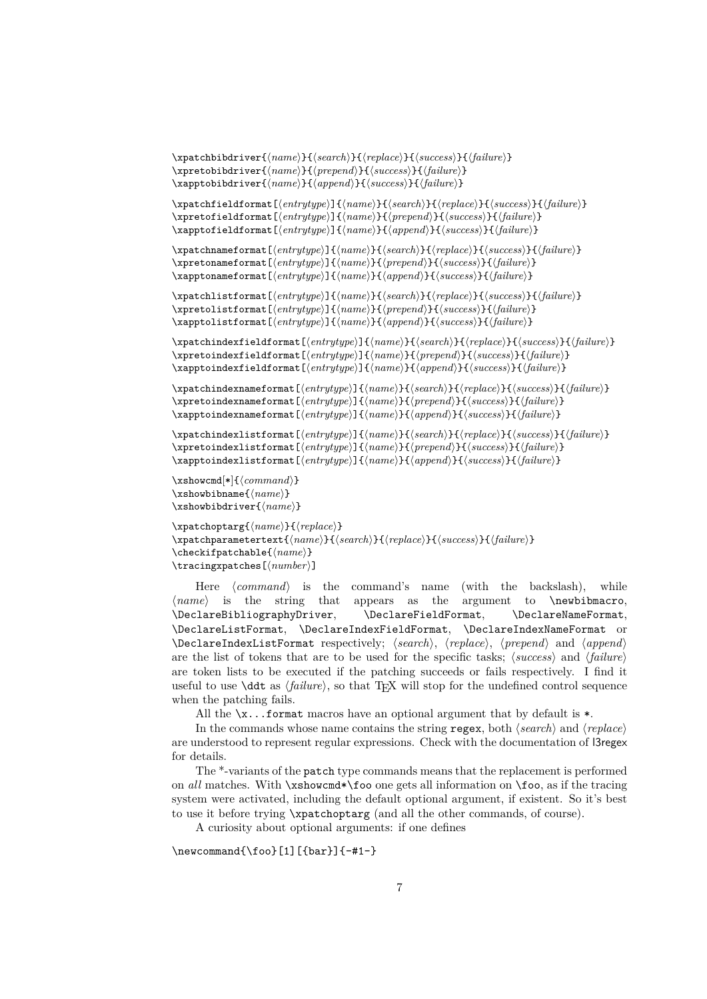\xpatchbibdriver{ $\langle name \rangle$ }{ $\langle search \rangle$ }{ $\langle replace \rangle$ }{ $\langle success \rangle$ }{ $\langle failure \rangle$ } \xpretobibdriver{ $\langle name \rangle$ }{ $\langle prepend \rangle$ }{ $\langle success \rangle$ }{ $\langle failure \rangle$ } \xapptobibdriver{ $\langle name \rangle$ }{ $\langle append \rangle$ }{ $\langle success \rangle$ }{ $\langle failure \rangle$ }

 $\xphi_{\text{reduced}}({\text{number}})$ }{\*failure*}}{\*failure*}}{\*failure*}} \xpretofieldformat[ $\{entropy\}$ { $\{name\}$ }{ $\{green\}$ }{\tend{\tend{\tend{\tend{\tend{\tend{\teld{\teld{\teld{\teld{\teld{\teld{\teld{\teld{\teld{\teld{\teld{\teld{\teld{\teld{\teld{\teld{\teld{\teld{\teld{\teld{\teld{\teld{\teld{\te \xapptofieldformat[ $\{entropy$ ]{ $\{name\}$ }{ $\{append\}$ }{\success}}{\failure}}

 $\langle$ xpatchnameformat[ $\langle$ *entrytype*}]{ $\langle$ *name*}}{\*search*}}{\*replace*}}{\*success*}}{\*failure*}} \xpretonameformat[ $\{entropy\}$ { $\{name\}$ }{ $\{greend\}$ }{\success}}{\failure}} \xapptonameformat[ $\{entropy\}$ ]{ $\{name\}$ }{ $\{append\}$ }{\success}}{\failure}}

 $\xphi{\kappa}({\gamma}) {\frac{h}{\gamma}}({\gamma}) {\frac{h}{\gamma}}({\gamma}) {\frac{h}{\gamma}}$ \xpretolistformat[ $\{entropy\}$ { $\{name\}$ }{ $\{green\}$ }{\success}}{\failure}} \xapptolistformat[ $\{entropy\}$ ]{ $\{name\}$ }{ $\{append\}$ }{\success}}{\failure}}

 $\xphi$ ildformat[ $\{entropy$ entrytype<sup>}</sup>]{ $\{search\}$ { $\{replace\}$ }{\success}}{\failure}} \xpretoindexfieldformat[ $\{entropy$ ]{ $\{name\}$ }{ $\{prepend\}$ }{\success}}{\failure}} \xapptoindexfieldformat[ $\{entrytype\}$ ]{ $\{name\}$ }{\append}}{\success}}{\failure}}

 $\xphi$ indexnameformat[ $\{entrytype\}$ ]{ $\{name\}$ }{\success}{\success}}{\failure}} \xpretoindexnameformat[ $\{entropy$ ]{ $\{name\}$ }{(prepend)}{\success}}{\failure}} \xapptoindexnameformat[ $\langle entrytype \rangle$ ]{ $\langle name \rangle$ }{ $\langle appeard \rangle$ }{ $\langle success \rangle$ }{ $\langle failure \rangle$ }

 $\xphi$ iverthindexlistformat[ $\{entrytype\}$ ]{ $\{name\}$ }{ $\{search\}$ }{ $\{replace\}$ }{ $\{success\}$ }{ $\{failure\}$ } \xpretoindexlistformat[ $\{entrytype\}$ ]{ $\{name\}$ }{ $\{prepend\}$ }{\success}}{\failure}} \xapptoindexlistformat[ $\{entropy$ ]{ $\{name\}$ }{\append}}{\success}}{\failure}}

```
\xshowcmd[*]{\<command\>}\xshowbibname{\langle name \rangle}
\xshowbibdriver{\langle name \rangle}
```
\xpatchoptarg{ $\langle name \rangle$ }{ $\langle replace \rangle$ } \xpatchparametertext{(name)}{(search)}{(replace)}{(success)}{(failure)} \checkifpatchable{ $\langle name \rangle$ } \tracingxpatches[ $\langle number \rangle$ ]

Here *(command)* is the command's name (with the backslash), while  $\langle name \rangle$  is the string that appears as the argument to  $\neq$  hewbibmacro, \DeclareBibliographyDriver, \DeclareFieldFormat, \DeclareNameFormat, \DeclareListFormat, \DeclareIndexFieldFormat, \DeclareIndexNameFormat or \DeclareIndexListFormat respectively; h*search*i, h*replace*i, h*prepend*i and h*append*i are the list of tokens that are to be used for the specific tasks;  $\langle success \rangle$  and  $\langle failure \rangle$ are token lists to be executed if the patching succeeds or fails respectively. I find it useful to use  $\ddot{\text{d}t}$  as  $\langle failure\rangle$ , so that T<sub>EX</sub> will stop for the undefined control sequence when the patching fails.

All the  $\x$ ...format macros have an optional argument that by default is  $\ast$ .

In the commands whose name contains the string  $\text{regex}$ , both  $\langle \text{search} \rangle$  and  $\langle \text{replace} \rangle$ are understood to represent regular expressions. Check with the documentation of l3regex for details.

The \*-variants of the patch type commands means that the replacement is performed on *all* matches. With \xshowcmd\*\foo one gets all information on \foo, as if the tracing system were activated, including the default optional argument, if existent. So it's best to use it before trying \xpatchoptarg (and all the other commands, of course).

A curiosity about optional arguments: if one defines

\newcommand{\foo}[1][{bar}]{-#1-}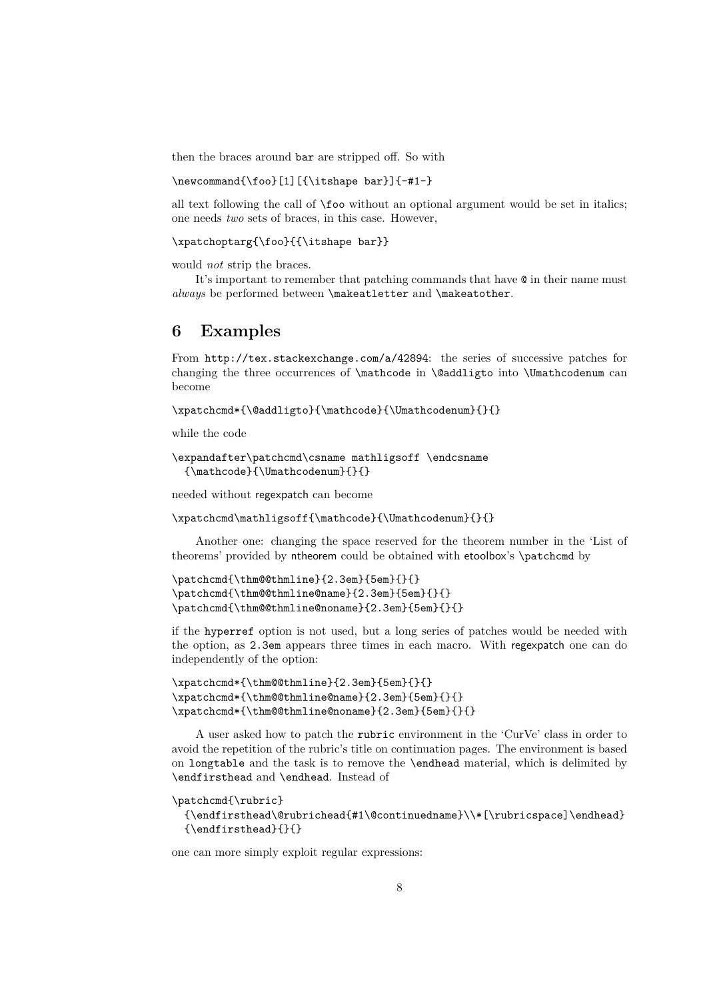then the braces around bar are stripped off. So with

#### \newcommand{\foo}[1][{\itshape bar}]{-#1-}

all text following the call of \foo without an optional argument would be set in italics; one needs *two* sets of braces, in this case. However,

\xpatchoptarg{\foo}{{\itshape bar}}

would *not* strip the braces.

It's important to remember that patching commands that have @ in their name must *always* be performed between \makeatletter and \makeatother.

# **6 Examples**

From http://tex.stackexchange.com/a/42894: the series of successive patches for changing the three occurrences of \mathcode in \@addligto into \Umathcodenum can become

\xpatchcmd\*{\@addligto}{\mathcode}{\Umathcodenum}{}{}

while the code

```
\expandafter\patchcmd\csname mathligsoff \endcsname
 {\mathcode}{\Umathcodenum}{}{}
```
needed without regexpatch can become

\xpatchcmd\mathligsoff{\mathcode}{\Umathcodenum}{}{}

Another one: changing the space reserved for the theorem number in the 'List of theorems' provided by ntheorem could be obtained with etoolbox's \patchcmd by

```
\patchcmd{\thm@@thmline}{2.3em}{5em}{}{}
\patchcmd{\thm@@thmline@name}{2.3em}{5em}{}{}
\patchcmd{\thm@@thmline@noname}{2.3em}{5em}{}{}
```
if the hyperref option is not used, but a long series of patches would be needed with the option, as 2.3em appears three times in each macro. With regexpatch one can do independently of the option:

```
\xpatchcmd*{\thm@@thmline}{2.3em}{5em}{}{}
\xpatchcmd*{\thm@@thmline@name}{2.3em}{5em}{}{}
\xpatchcmd*{\thm@@thmline@noname}{2.3em}{5em}{}{}
```
A user asked how to patch the rubric environment in the 'CurVe' class in order to avoid the repetition of the rubric's title on continuation pages. The environment is based on longtable and the task is to remove the \endhead material, which is delimited by \endfirsthead and \endhead. Instead of

```
\patchcmd{\rubric}
```

```
{\endfirsthead\@rubrichead{#1\@continuedname}\\*[\rubricspace]\endhead}
{\endfirsthead}{}{}
```
one can more simply exploit regular expressions: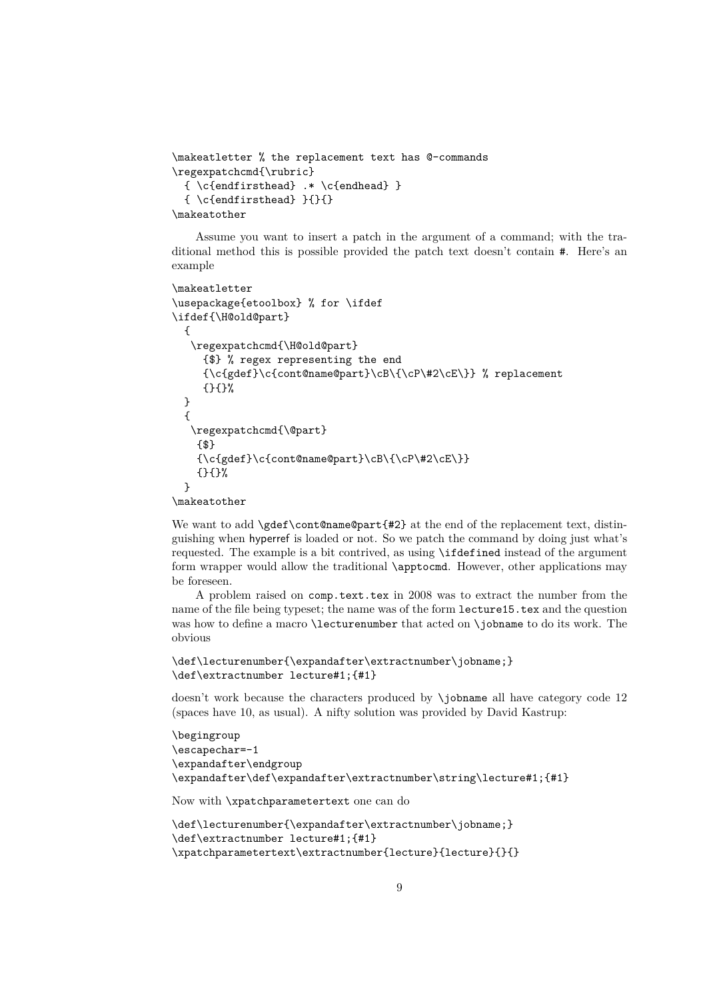```
\makeatletter % the replacement text has @-commands
\regexpatchcmd{\rubric}
 { \c{endfirsthead} .* \c{endhead} }
 { \c{endfirsthead} }{}{}
\makeatother
```
Assume you want to insert a patch in the argument of a command; with the traditional method this is possible provided the patch text doesn't contain #. Here's an example

```
\makeatletter
\usepackage{etoolbox} % for \ifdef
\ifdef{\H@old@part}
 {
  \regexpatchcmd{\H@old@part}
    {$} % regex representing the end
    {\c{gdef}\c{cont@name@part}\cB\{\cP\#2\cE\}} % replacement
    {}{}%
 }
 {
  \regexpatchcmd{\@part}
   {$}
   {\c{gdef}\c{cont@name@part}\cB\{C\}+2\cE\}}{}{}%
 }
```
\makeatother

We want to add \gdef\cont@name@part{#2} at the end of the replacement text, distinguishing when hyperref is loaded or not. So we patch the command by doing just what's requested. The example is a bit contrived, as using \ifdefined instead of the argument form wrapper would allow the traditional \apptocmd. However, other applications may be foreseen.

A problem raised on comp.text.tex in 2008 was to extract the number from the name of the file being typeset; the name was of the form lecture15.tex and the question was how to define a macro **\lecturenumber** that acted on **\jobname** to do its work. The obvious

```
\def\lecturenumber{\expandafter\extractnumber\jobname;}
\def\extractnumber lecture#1;{#1}
```
doesn't work because the characters produced by \jobname all have category code 12 (spaces have 10, as usual). A nifty solution was provided by David Kastrup:

```
\begingroup
\escapechar=-1
\expandafter\endgroup
\expandafter\def\expandafter\extractnumber\string\lecture#1;{#1}
```
Now with \xpatchparametertext one can do

```
\def\lecturenumber{\expandafter\extractnumber\jobname;}
\def\extractnumber lecture#1;{#1}
\xpatchparametertext\extractnumber{lecture}{lecture}{}{}
```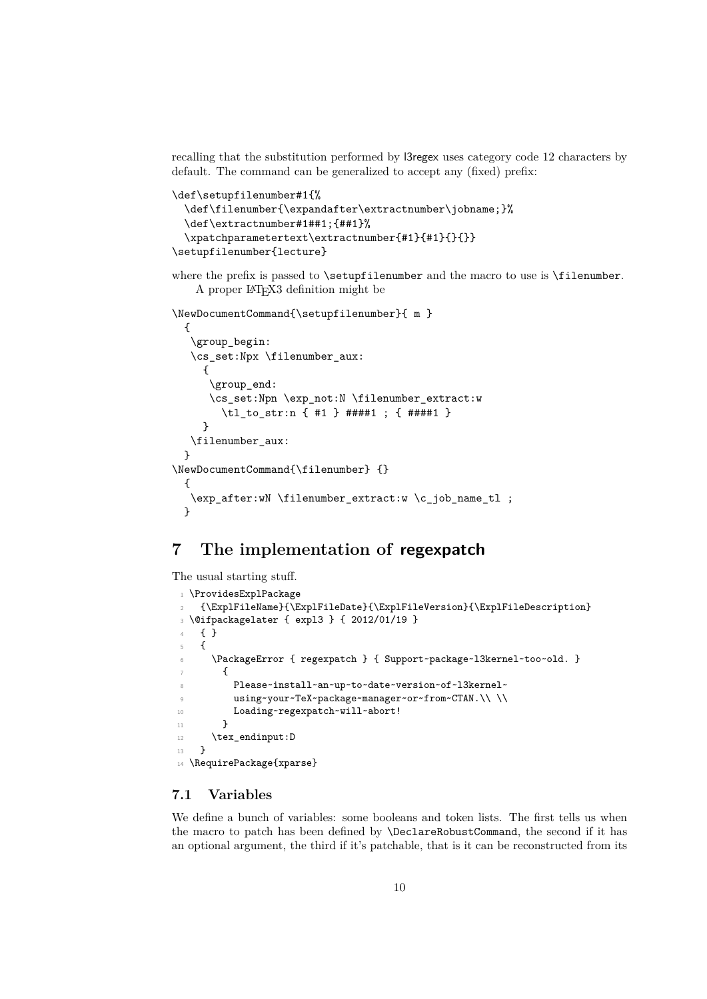recalling that the substitution performed by l3regex uses category code 12 characters by default. The command can be generalized to accept any (fixed) prefix:

```
\def\setupfilenumber#1{%
 \def\filenumber{\expandafter\extractnumber\jobname;}%
 \def\extractnumber#1##1;{##1}%
 \xpatchparametertext\extractnumber{#1}{#1}{}{}}
\setupfilenumber{lecture}
```
where the prefix is passed to  $\setminus \setminus \setminus$  is the macro to use is  $\setminus \setminus \setminus \setminus \setminus \setminus \setminus$ . A proper LATEX3 definition might be

```
\NewDocumentCommand{\setupfilenumber}{ m }
```

```
{
   \group_begin:
   \cs_set:Npx \filenumber_aux:
     {
      \group_end:
      \cs_set:Npn \exp_not:N \filenumber_extract:w
        \tl_to_str:n { #1 } ####1 ; { ####1 }
     }
   \filenumber_aux:
 }
\NewDocumentCommand{\filenumber} {}
 {
   \exp_after:wN \filenumber_extract:w \c_job_name_tl ;
 }
```
# **7 The implementation of regexpatch**

The usual starting stuff.

```
1 \ProvidesExplPackage
   2 {\ExplFileName}{\ExplFileDate}{\ExplFileVersion}{\ExplFileDescription}
3 \@ifpackagelater { expl3 } { 2012/01/19 }
4 { }
5 {
6 \PackageError { regexpatch } { Support~package~l3kernel~too~old. }
       7 {
8 Please~install~an~up~to~date~version~of~l3kernel~
9 using~your~TeX~package~manager~or~from~CTAN.\\\\
10 Loading~regexpatch~will~abort!
11 }
12 \text{text\_endinput}:D13 }
14 \RequirePackage{xparse}
```
#### <span id="page-9-6"></span><span id="page-9-4"></span><span id="page-9-0"></span>**7.1 Variables**

We define a bunch of variables: some booleans and token lists. The first tells us when the macro to patch has been defined by \DeclareRobustCommand, the second if it has an optional argument, the third if it's patchable, that is it can be reconstructed from its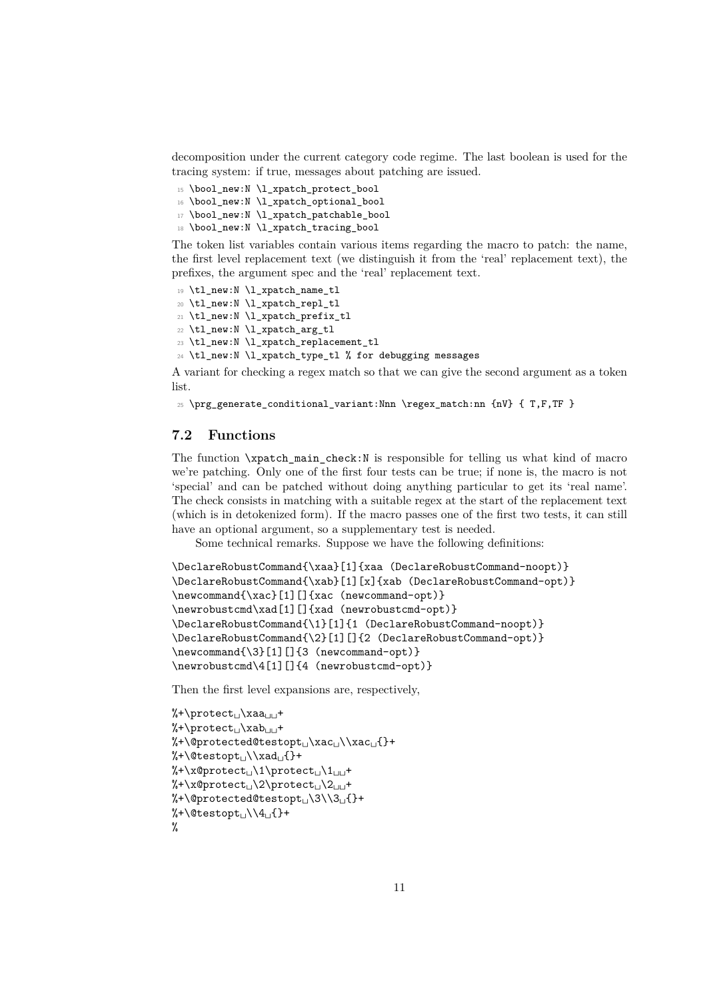decomposition under the current category code regime. The last boolean is used for the tracing system: if true, messages about patching are issued.

- <span id="page-10-0"></span><sup>15</sup> \bool\_new:N \l\_xpatch\_protect\_bool
- <span id="page-10-1"></span><sup>16</sup> \bool\_new:N \l\_xpatch\_optional\_bool
- <span id="page-10-2"></span><sup>17</sup> \bool\_new:N \l\_xpatch\_patchable\_bool
- <span id="page-10-3"></span><sup>18</sup> \bool\_new:N \l\_xpatch\_tracing\_bool

The token list variables contain various items regarding the macro to patch: the name, the first level replacement text (we distinguish it from the 'real' replacement text), the prefixes, the argument spec and the 'real' replacement text.

- <span id="page-10-5"></span>19 \tl new:N \l xpatch name tl
- <span id="page-10-6"></span><sup>20</sup> \tl\_new:N \l\_xpatch\_repl\_tl
- <span id="page-10-7"></span><sup>21</sup> \tl\_new:N \l\_xpatch\_prefix\_tl
- <span id="page-10-8"></span><sup>22</sup> \tl\_new:N \l\_xpatch\_arg\_tl
- <span id="page-10-9"></span><sup>23</sup> \tl\_new:N \l\_xpatch\_replacement\_tl
- <span id="page-10-10"></span><sup>24</sup> \tl\_new:N \l\_xpatch\_type\_tl % for debugging messages

A variant for checking a regex match so that we can give the second argument as a token list.

```
_{25} \prg_generate_conditional_variant:Nnn \regex_match:nn {nV} { T,F,TF }
```
### **7.2 Functions**

The function  $\xrightarrow{\mathbf{x}}$  ratio  $\mathbf{z}$  is responsible for telling us what kind of macro we're patching. Only one of the first four tests can be true; if none is, the macro is not 'special' and can be patched without doing anything particular to get its 'real name'. The check consists in matching with a suitable regex at the start of the replacement text (which is in detokenized form). If the macro passes one of the first two tests, it can still have an optional argument, so a supplementary test is needed.

Some technical remarks. Suppose we have the following definitions:

```
\DeclareRobustCommand{\xaa}[1]{xaa (DeclareRobustCommand-noopt)}
\DeclareRobustCommand{\xab}[1][x]{xab (DeclareRobustCommand-opt)}
\newcommand{\xac}[1][]{xac (newcommand-opt)}
\newrobustcmd\xad[1][]{xad (newrobustcmd-opt)}
\DeclareRobustCommand{\1}[1]{1 (DeclareRobustCommand-noopt)}
\DeclareRobustCommand{\2}[1][]{2 (DeclareRobustCommand-opt)}
\newcommand{\3}[1][]{3 (newcommand-opt)}
\newrobustcmd\4[1][]{4 (newrobustcmd-opt)}
```
Then the first level expansions are, respectively,

```
%+\protect<sub>L\</sub>xaa
%+\protect<sub>L</sub>\xab<sub>LL</sub>+
%+\@protected@testopt<sub>L\XaCL</sub>\\xac<sub>L1</sub>{}+
%+\@testopt\cup\xad\cup{}+
%+\x@protect␣\1\protect␣\1␣␣+
%+\x@protect␣\2\protect␣\2␣␣+
%+\@protected@testopt<sub>L\</sub>\3\\3<sub>L{</sub>}+
%+\@testopt\lambda\4{\scriptstyle\{+ \}}%
```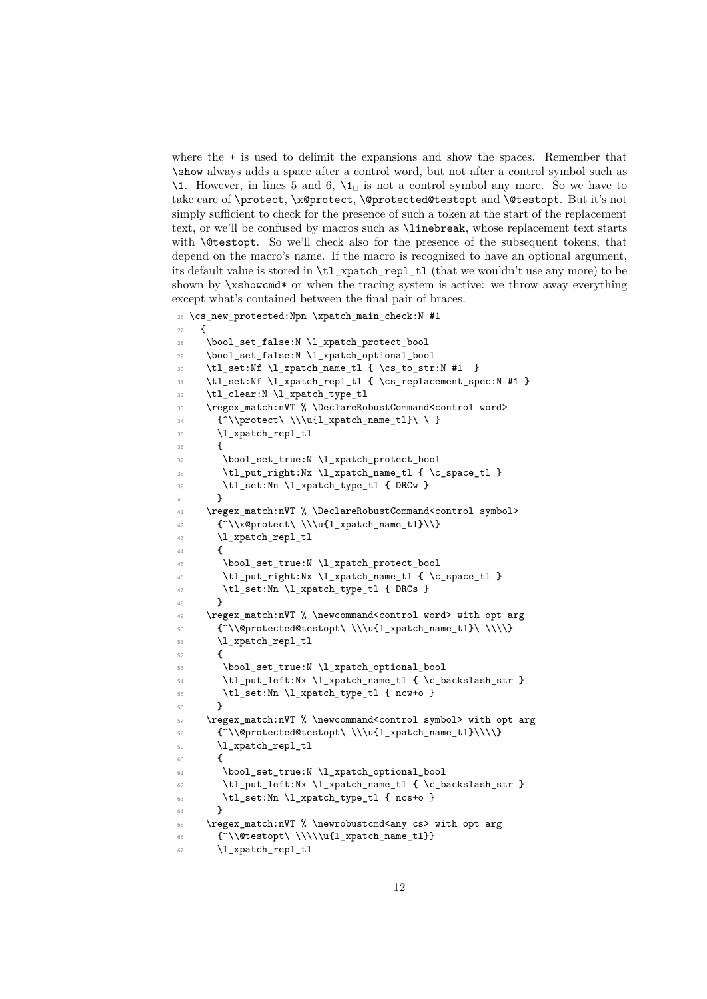where the + is used to delimit the expansions and show the spaces. Remember that \show always adds a space after a control word, but not after a control symbol such as  $\1$ . However, in lines 5 and 6,  $\1_\sqcup$  is not a control symbol any more. So we have to take care of \protect, \x@protect, \@protected@testopt and \@testopt. But it's not simply sufficient to check for the presence of such a token at the start of the replacement text, or we'll be confused by macros such as \linebreak, whose replacement text starts with **\@testopt.** So we'll check also for the presence of the subsequent tokens, that depend on the macro's name. If the macro is recognized to have an optional argument, its default value is stored in \tl\_xpatch\_repl\_tl (that we wouldn't use any more) to be shown by \xshowcmd\* or when the tracing system is active: we throw away everything except what's contained between the final pair of braces.

```
26 \cs_new_protected:Npn \xpatch_main_check:N #1
27 {
28 \bool_set_false:N \l_xpatch_protect_bool
29 \bool_set_false:N \l_xpatch_optional_bool
30 \tl_set:Nf \l_xpatch_name_tl { \cs_to_str:N #1 }
31 \tl_set:Nf \l_xpatch_repl_tl { \cs_replacement_spec:N #1 }
32 \tl_clear:N \l_xpatch_type_tl
33 \regex_match:nVT % \DeclareRobustCommand<control word>
34 {^\\protect\ \\\u{l_xpatch_name_tl}\ \ }
35 \l_xpatch_repl_tl
36 {
37 \bool_set_true:N \l_xpatch_protect_bool
38 \tl_put_right:Nx \l_xpatch_name_tl { \c_space_tl }
39 \tl_set:Nn \l_xpatch_type_tl { DRCw }
40 }
41 \regex_match:nVT % \DeclareRobustCommand<control symbol>
42 {^\\x@protect\\\\u{l_xpatch_name_tl}\\}
43 \l_xpatch_repl_tl
44 {
45 \bool_set_true:N \l_xpatch_protect_bool
46 \tl_put_right:Nx \l_xpatch_name_tl { \c_space_tl }
47 \tl_set:Nn \l_xpatch_type_tl { DRCs }
48 }
49 \regex_match:nVT % \newcommand<control word> with opt arg
50 {^\\@protected@testopt\ \\\u{l_xpatch_name_tl}\ \\\\}
51 \l_xpatch_repl_tl
52 \frac{1}{2}53 \bool_set_true:N \l_xpatch_optional_bool
54 \tl_put_left:Nx \l_xpatch_name_tl { \c_backslash_str }
55 \tl_set:Nn \l_xpatch_type_tl { ncw+o }
56 }
57 \regex_match:nVT % \newcommand<control symbol> with opt arg
58 \{\hat{\otimes}_{58} {\{\hat{\otimes}_{58} {\{\hat{\otimes}_{58} {\\\\\}
59 \l_xpatch_repl_tl
60 {
61 \bool_set_true:N \l_xpatch_optional_bool
62 \tl_put_left:Nx \l_xpatch_name_tl { \c_backslash_str }
63 \tl_set:Nn \l_xpatch_type_tl { ncs+o }
64 }
65 \regex_match:nVT % \newrobustcmd<any cs> with opt arg
66 {^\\@testopt\ \\\\\u{l_xpatch_name_tl}}
67 \l_xpatch_repl_tl
```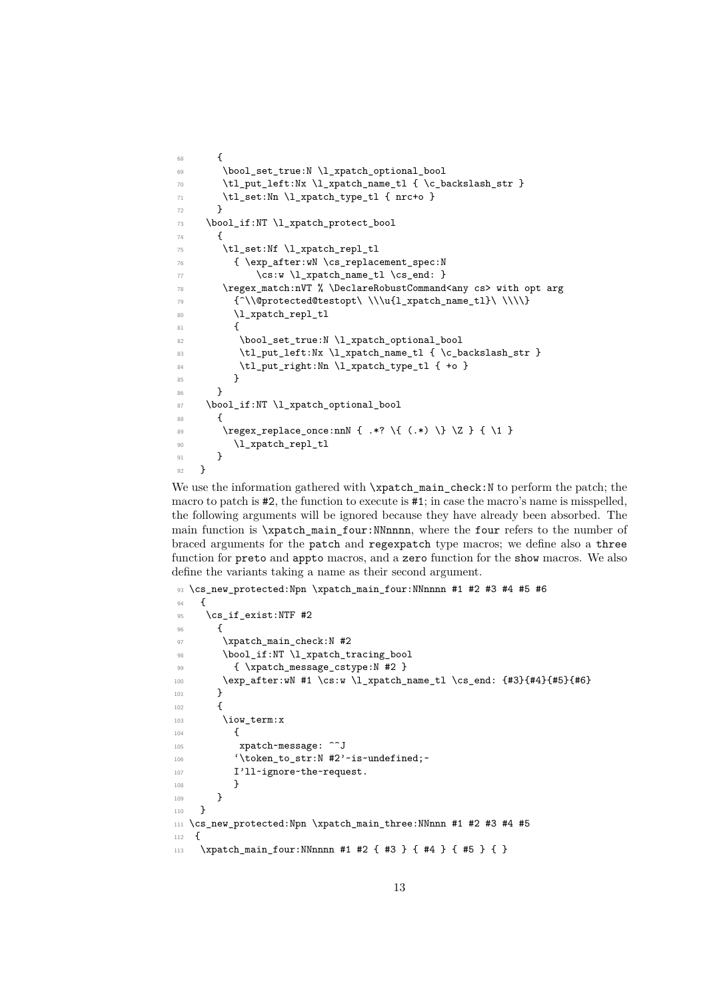```
68 {
69 \bool_set_true:N \l_xpatch_optional_bool
70 \tl_put_left:Nx \l_xpatch_name_tl { \c_backslash_str }
71 \tl_set:Nn \l_xpatch_type_tl { nrc+o }
72 }
73 \bool_if:NT \l_xpatch_protect_bool
74 {
75 \tilde{\text{1}\xp}76 { \exp_after:wN \cs_replacement_spec:N
77 \csc w \lvert \lvert x \frac{\tanh\max_t l}{\cs{cm}}.
78 \regex_match:nVT % \DeclareRobustCommand<any cs> with opt arg
79 {^\\@protected@testopt\ \\\u{l_xpatch_name_tl}\ \\\\}
80 \l_xpatch_repl_tl
81 \qquad \qquad82 \bool_set_true:N \l_xpatch_optional_bool
83 \tl_put_left:Nx \l_xpatch_name_tl { \c_backslash_str }
84 \tl_put_right:Nn \l_xpatch_type_tl { +o }
85 }
86 }
87 \bool_if:NT \l_xpatch_optional_bool
88 {
89 \regex_replace_once:nnN { .*? \{ (.*) \} \Z } { \1 }
90 \l_xpatch_repl_tl
\overline{91} }
92 }
```
<span id="page-12-25"></span><span id="page-12-17"></span><span id="page-12-16"></span><span id="page-12-6"></span><span id="page-12-3"></span><span id="page-12-1"></span>We use the information gathered with  $\xpatch\_main\_check:N$  to perform the patch; the macro to patch is  $\#2$ , the function to execute is  $\#1$ ; in case the macro's name is misspelled, the following arguments will be ignored because they have already been absorbed. The main function is \xpatch\_main\_four:NNnnnn, where the four refers to the number of braced arguments for the patch and regexpatch type macros; we define also a three function for preto and appto macros, and a zero function for the show macros. We also define the variants taking a name as their second argument.

```
93 \cs_new_protected:Npn \xpatch_main_four:NNnnnn #1 #2 #3 #4 #5 #6
94 \frac{1}{2}95 \cs_if_exist:NTF #2
96 {
97 \xpatch_main_check:N #2
98 \bool_if:NT \l_xpatch_tracing_bool
99 { \xpatch_message_cstype:N #2 }
100 \exp_after:wN #1 \cs:w \l_xpatch_name_tl \cs_end: {#3}{#4}{#5}{#6}
101 }
102 \qquad \qquad103 \iow_term:x
104 {
105 xpatch~message: ^^J
106 '\token_to_str:N #2'~is~undefined;
107 I'll~ignore~the~request.
108 }
\begin{array}{ccc} 109 & & \ & 110 & & \end{array}110 }
111 \cs_new_protected:Npn \xpatch_main_three:NNnnn #1 #2 #3 #4 #5
112 \frac{f}{f}113 \xpatch_main_four:NNnnnn #1 #2 { #3 } { #4 } { #5 } { }
```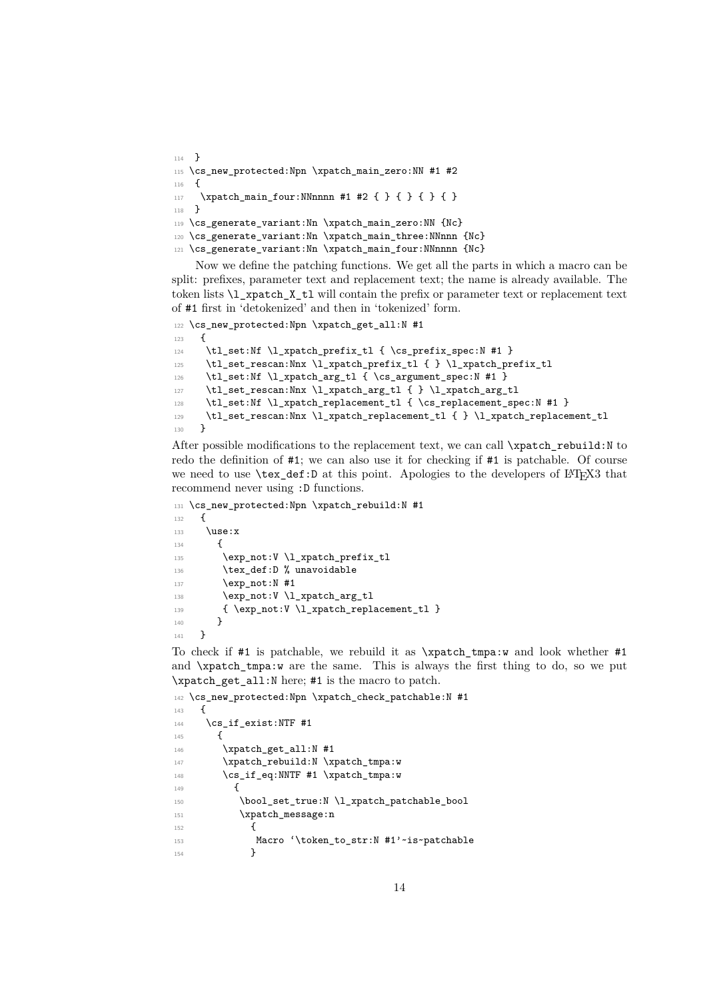```
114 - 3115 \cs_new_protected:Npn \xpatch_main_zero:NN #1 #2
116 {
117 \xpatch_main_four:NNnnnn #1 #2 { } { } { } { }
118 }
119 \cs_generate_variant:Nn \xpatch_main_zero:NN {Nc}
120 \cs_generate_variant:Nn \xpatch_main_three:NNnnn {Nc}
121 \cs_generate_variant:Nn \xpatch_main_four:NNnnnn {Nc}
```
<span id="page-13-4"></span><span id="page-13-3"></span><span id="page-13-2"></span>Now we define the patching functions. We get all the parts in which a macro can be split: prefixes, parameter text and replacement text; the name is already available. The token lists \l\_xpatch\_X\_tl will contain the prefix or parameter text or replacement text of #1 first in 'detokenized' and then in 'tokenized' form.

```
122 \cs_new_protected:Npn \xpatch_get_all:N #1
123 \frac{123}{2}124 \tl_set:Nf \l_xpatch_prefix_tl { \cs_prefix_spec:N #1 }
\verb|125| + \verb|t_set_rescan:Nnx \l1_xpatch_prefix_t1 { } \l1_xpatch_prefix_t1126 \tl_set:Nf \l_xpatch_arg_tl { \cs_argument_spec:N #1 }
127 \tl_set_rescan:Nnx \l_xpatch_arg_tl { } \l_xpatch_arg_tl
128 \tl_set:Nf \l_xpatch_replacement_tl { \cs_replacement_spec:N #1 }
129 \tl_set_rescan:Nnx \l_xpatch_replacement_tl { } \l_xpatch_replacement_tl
130 }
```
<span id="page-13-20"></span><span id="page-13-19"></span><span id="page-13-12"></span>After possible modifications to the replacement text, we can call  $\zeta$ rebuild:N to redo the definition of #1; we can also use it for checking if #1 is patchable. Of course we need to use \tex\_def:D at this point. Apologies to the developers of LATEX3 that recommend never using :D functions.

```
131 \cs_new_protected:Npn \xpatch_rebuild:N #1
132 \frac{f}{f}133 \use:x
134 \sim135 \exp_not:V \l_xpatch_prefix_tl
136 \tex_def:D % unavoidable
137 \exp_not:N #1
138 \exp_not:V \l_xpatch_arg_tl
139 { \exp_not:V \l_xpatch_replacement_tl }
140 }
141 }
```
<span id="page-13-16"></span><span id="page-13-15"></span><span id="page-13-13"></span>To check if #1 is patchable, we rebuild it as \xpatch\_tmpa:w and look whether #1 and \xpatch\_tmpa:w are the same. This is always the first thing to do, so we put \xpatch\_get\_all:N here; #1 is the macro to patch.

```
142 \cs_new_protected:Npn \xpatch_check_patchable:N #1
143 \, \text{f}144 \cs if exist:NTF #1
145 f
146 \xpatch_get_all:N #1
147 \xpatch_rebuild:N \xpatch_tmpa:w
148 \cs_if_eq:NNTF #1 \xpatch_tmpa:w
149 \left\{ \begin{array}{c} 149 & 1 \end{array} \right\}150 \bool_set_true:N \l_xpatch_patchable_bool
151 \xpatch_message:n
152 \left\{ \begin{array}{c} \end{array} \right\}153 Macro '\token_to_str:N #1'~is~patchable
154 }
```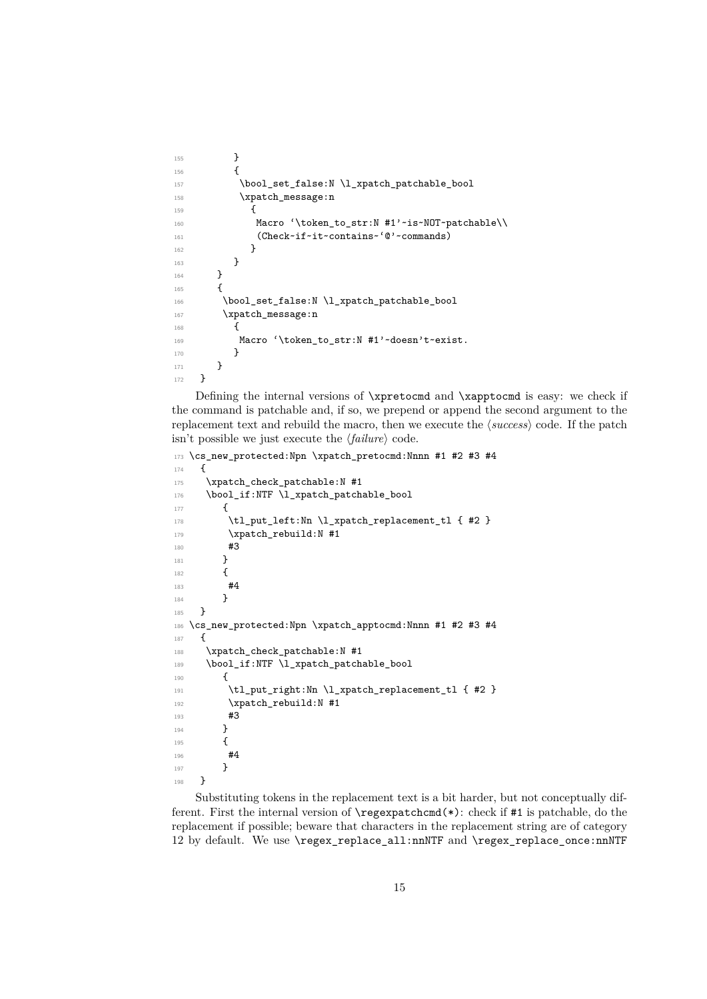```
155 }
156 \{157 \bool_set_false:N \l_xpatch_patchable_bool
158 \xpatch_message:n
159 \left\{ \begin{array}{c} \end{array} \right\}160 Macro '\token_to_str:N #1'~is~NOT~patchable\\
161 (Check~if~it~contains~'@'~commands)
162 }
163 }
164 }
165 \frac{1}{2}166 \bool_set_false:N \l_xpatch_patchable_bool
167 \xpatch_message:n
168 {
169 Macro '\token_to_str:N #1'~doesn't~exist.
170 }
171 }
172 }
```
<span id="page-14-13"></span><span id="page-14-9"></span><span id="page-14-4"></span>Defining the internal versions of \xpretocmd and \xapptocmd is easy: we check if the command is patchable and, if so, we prepend or append the second argument to the replacement text and rebuild the macro, then we execute the *(success*) code. If the patch isn't possible we just execute the *{failure}* code.

```
173 \cs_new_protected:Npn \xpatch_pretocmd:Nnnn #1 #2 #3 #4
174 {
175 \xpatch_check_patchable:N #1
176 \bool_if:NTF \l_xpatch_patchable_bool
177 \overline{f}178 \tl_put_left:Nn \l_xpatch_replacement_tl { #2 }
179 \xpatch_rebuild:N #1
180 #3
181 }
182 {
183 #4
184 }
185 }
186 \cs_new_protected:Npn \xpatch_apptocmd:Nnnn #1 #2 #3 #4
187 {
188 \xpatch_check_patchable:N #1
189 \bool_if:NTF \l_xpatch_patchable_bool
190 \qquad \qquad191 \tl_put_right:Nn \l_xpatch_replacement_tl { #2 }
192 \xpatch_rebuild:N #1
193 #3
194 }
195 {
196 #4
197 }
198 }
```
<span id="page-14-15"></span><span id="page-14-11"></span><span id="page-14-8"></span><span id="page-14-2"></span>Substituting tokens in the replacement text is a bit harder, but not conceptually different. First the internal version of \regexpatchcmd(\*): check if #1 is patchable, do the replacement if possible; beware that characters in the replacement string are of category 12 by default. We use \regex\_replace\_all:nnNTF and \regex\_replace\_once:nnNTF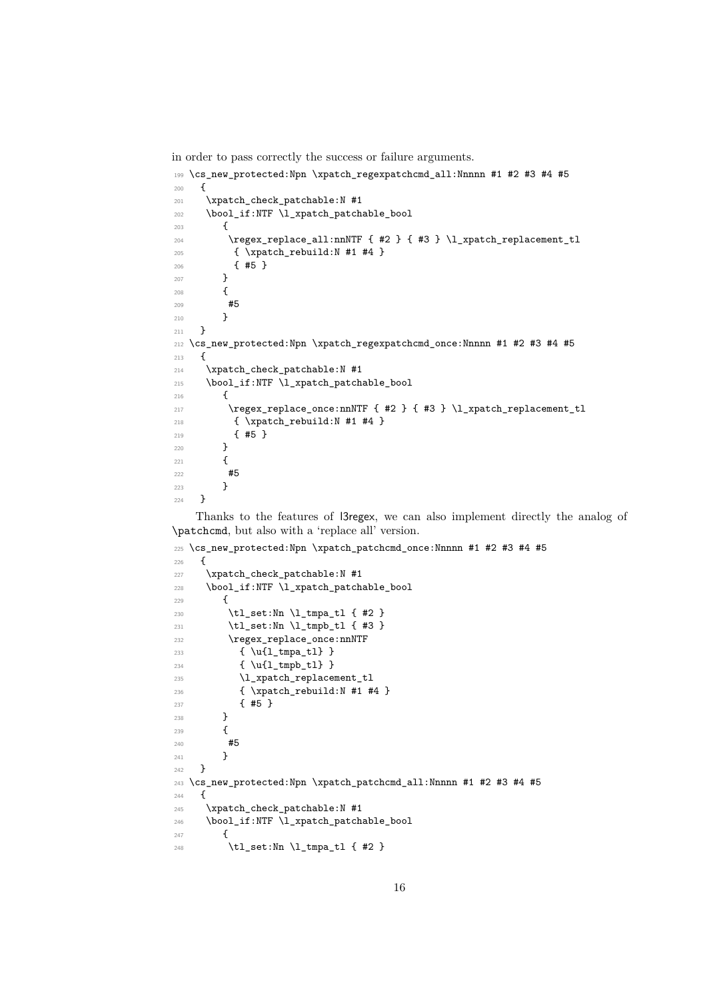<span id="page-15-24"></span>in order to pass correctly the success or failure arguments.

```
199 \cs_new_protected:Npn \xpatch_regexpatchcmd_all:Nnnnn #1 #2 #3 #4 #5
200 - 5201 \xpatch_check_patchable:N #1
202 \bool_if:NTF \l_xpatch_patchable_bool
203 {
204 \regex_replace_all:nnNTF { #2 } { #3 } \l_xpatch_replacement_tl
205 { \xpatch_rebuild:N #1 #4 }
206 { #5 }
207 }
208 {
\begin{array}{ccc}\n & & \text{#5} \\
 & & \text{ } \\
\text{210} & & \text{ } \\
\end{array}210211 }
212 \cs_new_protected:Npn \xpatch_regexpatchcmd_once:Nnnnn #1 #2 #3 #4 #5
213 {
214 \xpatch_check_patchable:N #1
215 \bool_if:NTF \l_xpatch_patchable_bool
216 {
217 \regex_replace_once:nnNTF { #2 } { #3 } \l_xpatch_replacement_tl
218 { \xpatch_rebuild:N #1 #4 }
219 { #5 }
220 }
221 \{222 #5
223 }
224 }
```
<span id="page-15-21"></span><span id="page-15-17"></span><span id="page-15-9"></span><span id="page-15-1"></span>Thanks to the features of l3regex, we can also implement directly the analog of \patchcmd, but also with a 'replace all' version.

```
225 \cs_new_protected:Npn \xpatch_patchcmd_once:Nnnnn #1 #2 #3 #4 #5
226 {
227 \xpatch_check_patchable:N #1
228 \bool_if:NTF \l_xpatch_patchable_bool
229 \uparrow230 \tl_set:Nn \l_tmpa_tl { #2 }
231 \tl_set:Nn \l_tmpb_tl { #3 }
232 \regex_replace_once:nnNTF
233 { \u{l_tmpa_tl} }
234 { \u{l_tmpb_tl} }
235 \l_xpatch_replacement_tl
236 { \xpatch_rebuild:N #1 #4 }
237 { #5 }
238 }
239 {
240 #5
241 }
242 }
243 \cs_new_protected:Npn \xpatch_patchcmd_all:Nnnnn #1 #2 #3 #4 #5
244 {
245 \xpatch_check_patchable:N #1
246 \bool_if:NTF \l_xpatch_patchable_bool
247 \uparrow248 \tl_set:Nn \l_tmpa_tl { #2 }
```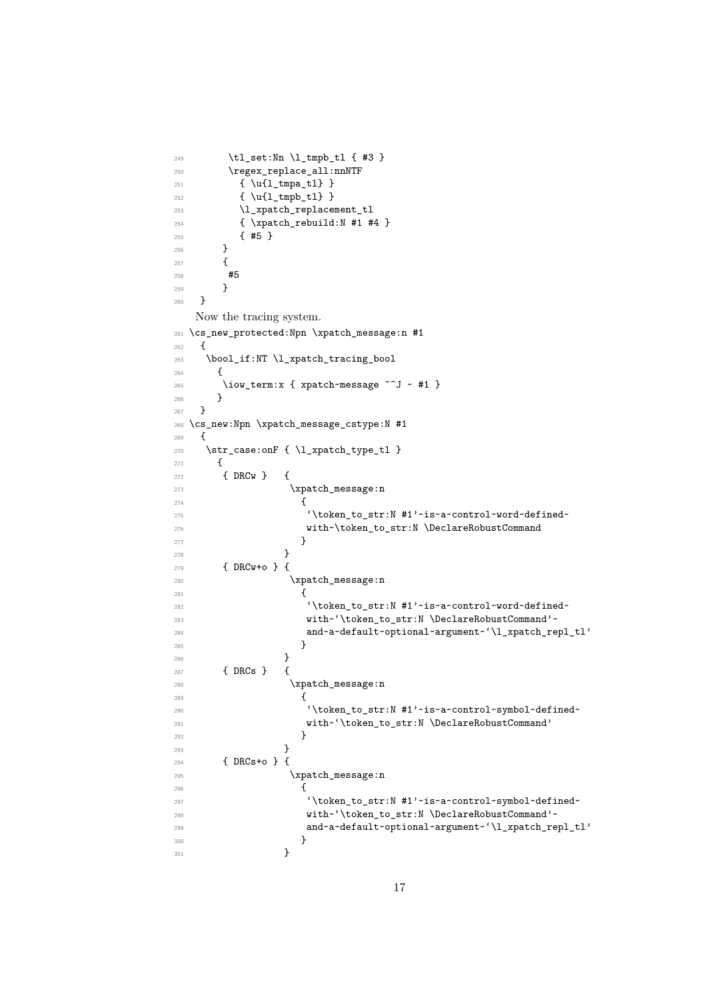```
249 \tl_set:Nn \l_tmpb_tl { #3 }
250 \regex_replace_all:nnNTF
251 { \u{l_tmpa_tl} }
252 { \u{l_tmpb_tl} }
253 \l_xpatch_replacement_tl
254 { \xpatch_rebuild:N #1 #4 }
255 { #5 }
256 }
257 {
258 #5
259 }
260 }
   Now the tracing system.
261 \cs_new_protected:Npn \xpatch_message:n #1
262 \sim f
263 \bool_if:NT \l_xpatch_tracing_bool
264 {
265 \iow_term:x { xpatch~message ^^J ~ #1 }<br>266 }
266<br>267 }
267 }
268 \cs_new:Npn \xpatch_message_cstype:N #1
269 \sim270 \str_case:onF { \l_xpatch_type_tl }
271 {
272 { DRCw } {
273 \xpatch_message:n
274 \left\{ \begin{array}{c} \end{array} \right.275 '\token_to_str:N #1'~is~a~control~word~defined~
276 with~\token_to_str:N \DeclareRobustCommand
277 }278 }
279 \{ DRCw + o \}280 \xpatch_message:n
281 \qquad \qquad \textbf{1}282 '\token_to_str:N #1'~is~a~control~word~defined~
283 with~'\token_to_str:N \DeclareRobustCommand'~
284 and~a~default~optional~argument~'\l_xpatch_repl_tl'
285 }
286 }
287 { DRCs } {
288 \xpatch_message:n
289 {
290 '\token_to_str:N #1'~is~a~control~symbol~defined~
291 with~'\token to str:N \DeclareRobustCommand'
292 }
293 }
294 { DRCs+o } {
295 \xpatch_message:n
296 \qquad \qquad297 '\token_to_str:N #1'~is~a~control~symbol~defined~
298 with~'\token_to_str:N \DeclareRobustCommand'~
299 and~a~default~optional~argument~'\l_xpatch_repl_tl'
300 }301 }
```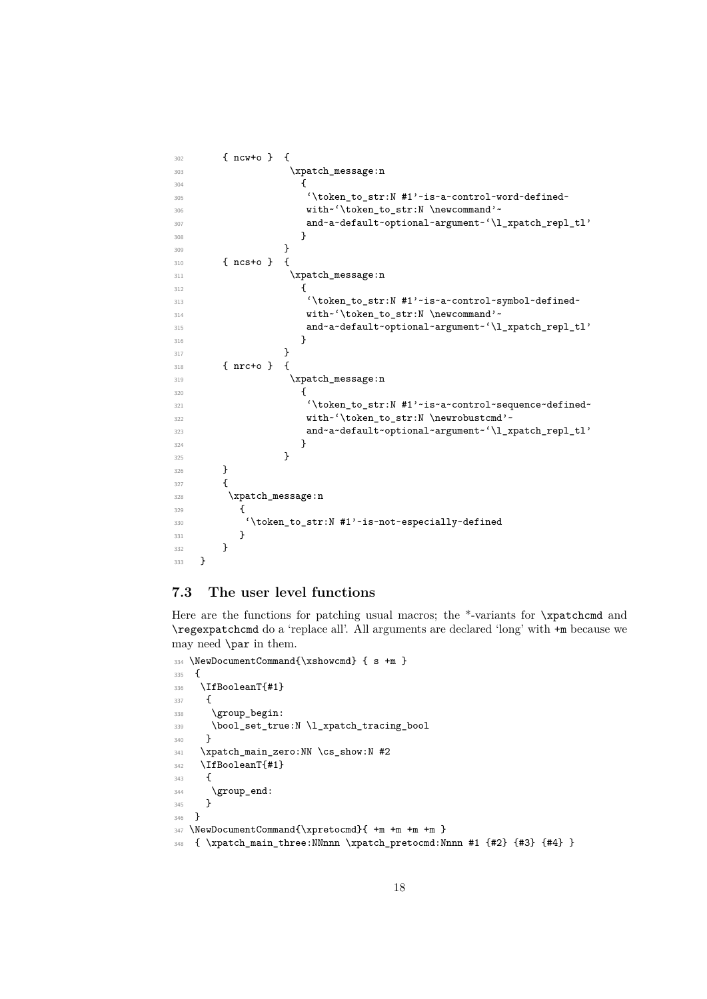```
302 { ncw+o } {
303 \xpatch_message:n
304 \left\{305 '\token_to_str:N #1'~is~a~control~word~defined~
306 with~'\token_to_str:N \newcommand'~
307 and~a~default~optional~argument~'\l_xpatch_repl_tl'
308 }
309 }
310 { ncs+o } {
311 \xpatch_message:n
312 \left\{ \begin{array}{c} \end{array} \right.313 \token_to_str:N #1'~is~a~control~symbol~defined~
314 with~'\token_to_str:N \newcommand'~
315 and~a~default~optional~argument~'\l_xpatch_repl_tl'
316 }317 }
318 { nrc+o } {
319 \xpatch_message:n
320321 '\token_to_str:N #1'~is~a~control~sequence~defined~
322 with~'\token_to_str:N \newrobustcmd'~
323 and~a~default~optional~argument~'\l_xpatch_repl_tl'
324 }
325 }
326 }
327 {
328 \xpatch_message:n
329 {
330 '\token_to_str:N #1'~is~not~especially~defined
331 }
332 }
333 }
```
### <span id="page-17-22"></span><span id="page-17-19"></span><span id="page-17-18"></span><span id="page-17-14"></span><span id="page-17-13"></span><span id="page-17-10"></span>**7.3 The user level functions**

Here are the functions for patching usual macros; the \*-variants for \xpatchcmd and \regexpatchcmd do a 'replace all'. All arguments are declared 'long' with +m because we may need \par in them.

```
334 \NewDocumentCommand{\xshowcmd} { s +m }
335 {
336 \IfBooleanT{#1}
337 {
338 \group_begin:
339 \bool_set_true:N \l_xpatch_tracing_bool
340 }
341 \xpatch_main_zero:NN \cs_show:N #2
342 \IfBooleanT{#1}
343 {
344 \group_end:
345 }
346 }
347 \NewDocumentCommand{\xpretocmd}{ +m +m +m +m }
348 { \xpatch_main_three:NNnnn \xpatch_pretocmd:Nnnn #1 {#2} {#3} {#4} }
```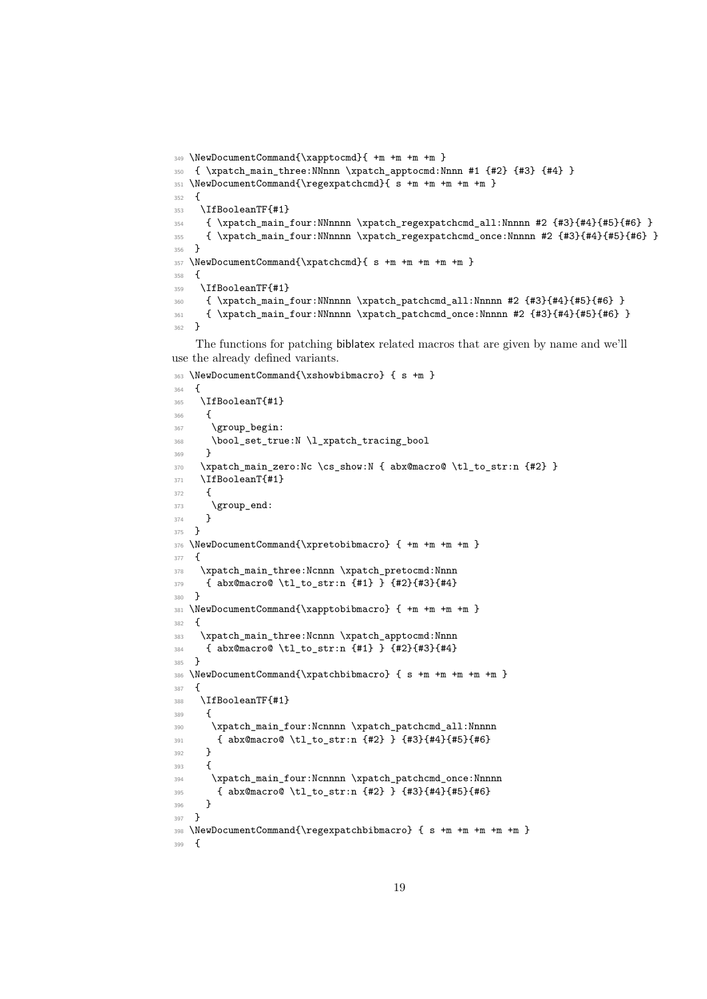```
349 \NewDocumentCommand{\xapptocmd}{ +m +m +m +m }
350 { \xpatch_main_three:NNnnn \xpatch_apptocmd:Nnnn #1 {#2} {#3} {#4} }
351 \NewDocumentCommand{\regexpatchcmd}{ s +m +m +m +m +m }
352 {
353 \IfBooleanTF{#1}
354 { \xpatch_main_four:NNnnnn \xpatch_regexpatchcmd_all:Nnnnn #2 {#3}{#4}{#5}{#6} }
355 { \xpatch_main_four:NNnnnn \xpatch_regexpatchcmd_once:Nnnnn #2 {#3}{#4}{#5}{#6} }
356 }
357 \NewDocumentCommand{\xpatchcmd}{ s +m +m +m +m +m }
358 {
359 \IfBooleanTF{#1}
360 { \xpatch_main_four:NNnnnn \xpatch_patchcmd_all:Nnnnn #2 {#3}{#4}{#5}{#6} }
361 { \xpatch_main_four:NNnnnn \xpatch_patchcmd_once:Nnnnn #2 {#3}{#4}{#5}{#6} }
362 }
```
<span id="page-18-26"></span><span id="page-18-25"></span><span id="page-18-11"></span><span id="page-18-7"></span>The functions for patching biblatex related macros that are given by name and we'll use the already defined variants.

```
363 \NewDocumentCommand{\xshowbibmacro} { s +m }
364 {
365 \IfBooleanT{#1}
366 \sqrt{2}367 \group_begin:
368 \bool_set_true:N \l_xpatch_tracing_bool
369 }
370 \xpatch main zero:Nc \cs show:N { abx@macro@ \tl to str:n {#2} }
371 \IfBooleanT{#1}
372 \frac{1}{2}373 \group_end:
374 }
375 }
376 \NewDocumentCommand{\xpretobibmacro} { +m +m +m +m }
277 {
378 \xpatch_main_three:Ncnnn \xpatch_pretocmd:Nnnn
379 { abx@macro@ \tl_to_str:n {#1} } {#2}{#3}{#4}
380 }
381 \NewDocumentCommand{\xapptobibmacro} { +m +m +m +m }
382 {
383 \xpatch_main_three:Ncnnn \xpatch_apptocmd:Nnnn
384 { abx@macro@ \tl_to_str:n {#1} } {#2}{#3}{#4}
385 }
386 \NewDocumentCommand{\xpatchbibmacro} { s +m +m +m +m +m }
307 {
388 \IfBooleanTF{#1}
389 {
390 \xpatch_main_four:Ncnnnn \xpatch_patchcmd_all:Nnnnn
391 { abx@macro@ \tl_to_str:n {#2} } {#3}{#4}{#5}{#6}
392 }
393 {
394 \xpatch_main_four:Ncnnnn \xpatch_patchcmd_once:Nnnnn
395 { abx@macro@ \tl_to_str:n {#2} } {#3}{#4}{#5}{#6}
396 }
397 }
398 \NewDocumentCommand{\regexpatchbibmacro} { s +m +m +m +m +m }
399 {
```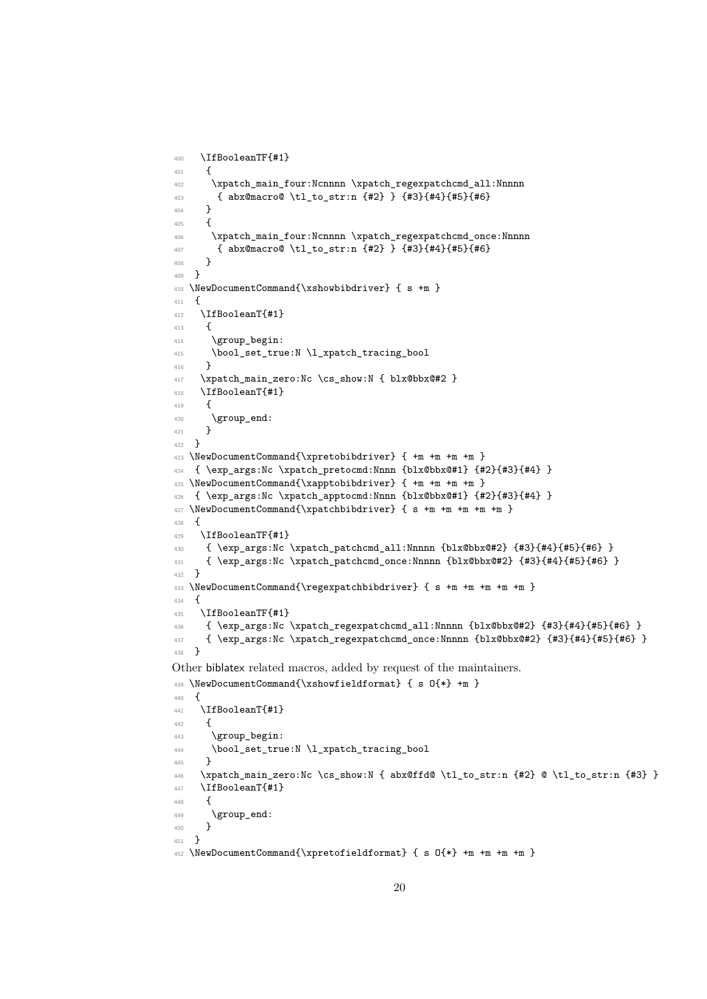```
400 \IfBooleanTF{#1}
401 {
402 \xpatch_main_four:Ncnnnn \xpatch_regexpatchcmd_all:Nnnnn
403 { abx@macro@ \tl_to_str:n {#2} } {#3}{#4}{#5}{#6}
404 }
405 {
406 \xpatch_main_four:Ncnnnn \xpatch_regexpatchcmd_once:Nnnnn
407 { abx@macro@ \tl_to_str:n {#2} } {#3}{#4}{#5}{#6}
408 }
409 }
410 \NewDocumentCommand{\xshowbibdriver} { s +m }
411 \sim412 \IfBooleanT{#1}
413 {
414 \group_begin:
415 \bool_set_true:N \l_xpatch_tracing_bool
416 }
417 \xpatch_main_zero:Nc \cs_show:N { blx@bbx@#2 }
418 \IfBooleanT{#1}
419 {
420 \group_end:
421 - 7422 }
423 \NewDocumentCommand{\xpretobibdriver} { +m +m +m +m }
424 { \exp_args:Nc \xpatch_pretocmd:Nnnn {blx@bbx@#1} {#2}{#3}{#4} }
425 \NewDocumentCommand{\xapptobibdriver} { +m +m +m +m }
426 { \exp_args:Nc \xpatch_apptocmd:Nnnn {blx@bbx@#1} {#2}{#3}{#4} }
427 \NewDocumentCommand{\xpatchbibdriver} { s +m +m +m +m +m }
428 {
429 \IfBooleanTF{#1}
430 { \exp_args:Nc \xpatch_patchcmd_all:Nnnnn {blx@bbx@#2} {#3}{#4}{#5}{#6} }
431 { \exp_args:Nc \xpatch_patchcmd_once:Nnnnn {blx@bbx@#2} {#3}{#4}{#5}{#6} }
432 - 3433 \NewDocumentCommand{\regexpatchbibdriver} { s +m +m +m +m +m }
434 \sim435 \IfBooleanTF{#1}
436 { \exp_args:Nc \xpatch_regexpatchcmd_all:Nnnnn {blx@bbx@#2} {#3}{#4}{#5}{#6} }
437 { \exp_args:Nc \xpatch_regexpatchcmd_once:Nnnnn {blx@bbx@#2} {#3}{#4}{#5}{#6} }
438 }
Other biblatex related macros, added by request of the maintainers.
439 \NewDocumentCommand{\xshowfieldformat} { s O{*} +m }
440 \sim441 \IfBooleanT{#1}
442 \qquad \qquad \textbf{4}443 \group begin:
444 \bool_set_true:N \l_xpatch_tracing_bool
445 }
446 \xpatch_main_zero:Nc \cs_show:N { abx@ffd@ \tl_to_str:n {#2} @ \tl_to_str:n {#3} }
447 \IfBooleanT{#1}
448 \sim449 \group_end:
450 - \lambda451 }
452 \NewDocumentCommand{\xpretofieldformat} { s O{*} +m +m +m +m }
```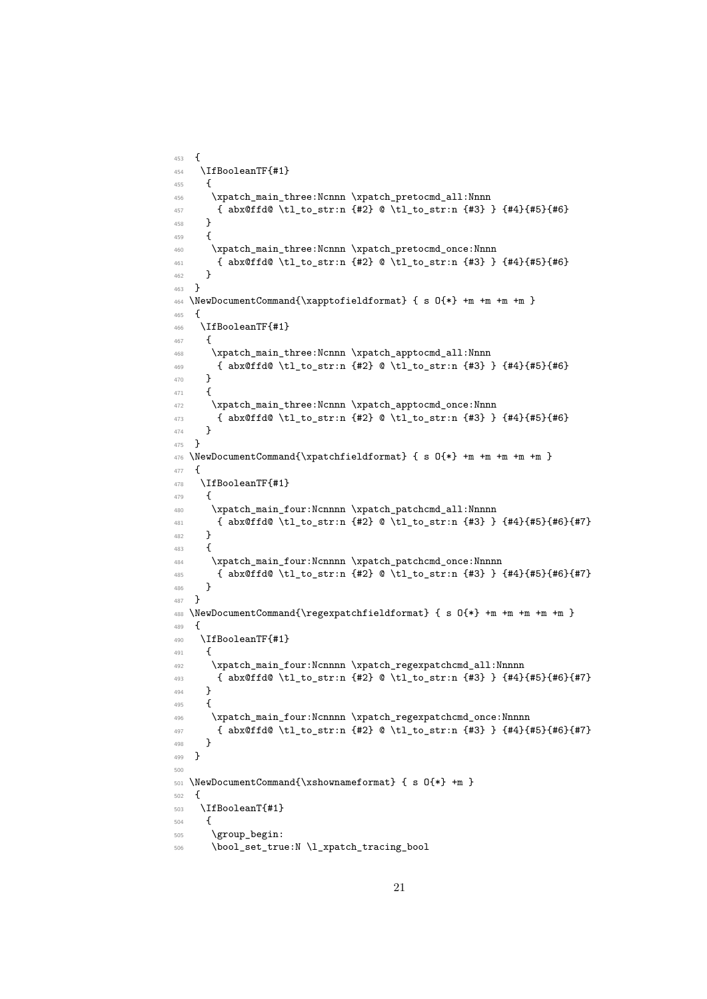```
453 {
454 \IfBooleanTF{#1}
455 {
456 \xpatch_main_three:Ncnnn \xpatch_pretocmd_all:Nnnn
457 { abx@ffd@ \tl_to_str:n {#2} @ \tl_to_str:n {#3} } {#4}{#5}{#6}
458 }
459 {
460 \xpatch_main_three:Ncnnn \xpatch_pretocmd_once:Nnnn
461 { abx@ffd@ \tl_to_str:n {#2} @ \tl_to_str:n {#3} } {#4}{#5}{#6}
462 }
463 - 3464 \NewDocumentCommand{\xapptofieldformat} { s O{*} +m +m +m +m }
465 {
466 \IfBooleanTF{#1}
467 {
468 \xpatch_main_three:Ncnnn \xpatch_apptocmd_all:Nnnn
469 { abx@ffd@ \tl_to_str:n {#2} @ \tl_to_str:n {#3} } {#4}{#5}{#6}
470 }
471 {
472 \xpatch_main_three:Ncnnn \xpatch_apptocmd_once:Nnnn
473 { abx@ffd@ \tl_to_str:n {#2} @ \tl_to_str:n {#3} } {#4}{#5}{#6}
474 }
475 }
476 \NewDocumentCommand{\xpatchfieldformat} { s O{*} +m +m +m +m }
477 \frac{1}{2}478 \IfBooleanTF{#1}
479 \left\{ \right.480 \xpatch_main_four:Ncnnnn \xpatch_patchcmd_all:Nnnnn
481 { abx@ffd@ \tl_to_str:n {#2} @ \tl_to_str:n {#3} } {#4}{#5}{#6}{#7}
482 }
483 {
484 \xpatch_main_four:Ncnnnn \xpatch_patchcmd_once:Nnnnn
485 { abx@ffd@ \tl_to_str:n {#2} @ \tl_to_str:n {#3} } {#4}{#5}{#6}{#7}
486 }
487 }
488 \NewDocumentCommand{\regexpatchfieldformat} { s O{*} +m +m +m +m +m }
489 {
490 \IfBooleanTF{#1}
491 {
492 \xpatch_main_four:Ncnnnn \xpatch_regexpatchcmd_all:Nnnnn
493 { abx@ffd@ \tl_to_str:n {#2} @ \tl_to_str:n {#3} } {#4}{#5}{#6}{#7}
494 - 7495 \overline{f}496 \xpatch_main_four:Ncnnnn \xpatch_regexpatchcmd_once:Nnnnn
497 { abx@ffd@ \tl_to_str:n {#2} @ \tl_to_str:n {#3} } {#4}{#5}{#6}{#7}
498 }
499 }
500
501 \NewDocumentCommand{\xshownameformat} { s O{*} +m }
502 {
503 \IfBooleanT{#1}
504 {
505 \group_begin:
506 \bool_set_true:N \l_xpatch_tracing_bool
```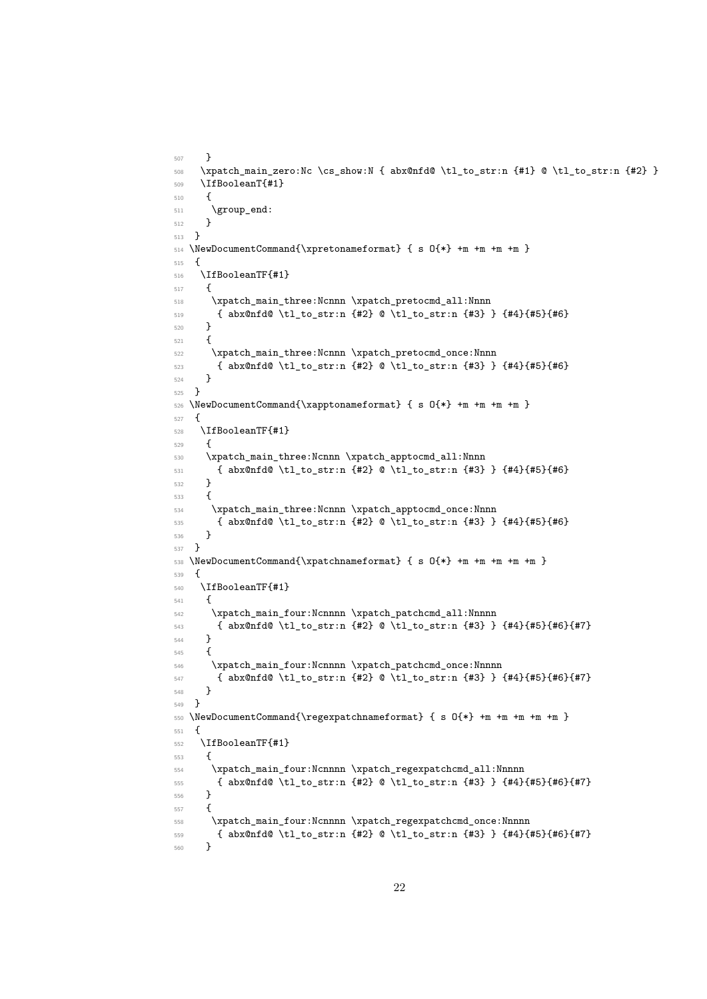```
507 - 7508 \xpatch_main_zero:Nc \cs_show:N { abx@nfd@ \tl_to_str:n {#1} @ \tl_to_str:n {#2} }
509 \IfBooleanT{#1}
510 \frac{1}{10}$511 $\big\verb|\group_and|:512 }
513 }
514 \NewDocumentCommand{\xpretonameformat} { s O{*} +m +m +m +m }
515 {
516 \IfBooleanTF{#1}
517 {
518 \xpatch_main_three:Ncnnn \xpatch_pretocmd_all:Nnnn
519 { abx@nfd@ \tl_to_str:n {#2} @ \tl_to_str:n {#3} } {#4}{#5}{#6}
520 }
521 {
522 \xpatch_main_three:Ncnnn \xpatch_pretocmd_once:Nnnn
523 { abx@nfd@ \tl_to_str:n {#2} @ \tl_to_str:n {#3} } {#4}{#5}{#6}
524 }
525 }
526 \NewDocumentCommand{\xapptonameformat} { s O{*} +m +m +m +m }
527 {
528 \IfBooleanTF{#1}
529 \sqrt{5}530 \xpatch_main_three:Ncnnn \xpatch_apptocmd_all:Nnnn
531 { abx@nfd@ \tl_to_str:n {#2} @ \tl_to_str:n {#3} } {#4}{#5}{#6}
532 }
533 {
534 \xpatch_main_three:Ncnnn \xpatch_apptocmd_once:Nnnn
535 { abx@nfd@ \tl_to_str:n {#2} @ \tl_to_str:n {#3} } {#4}{#5}{#6}
536 }
537 }
538 \NewDocumentCommand{\xpatchnameformat} { s 0{*} +m +m +m +m }
539 {
540 \IfBooleanTF{#1}
541 {
542 \xpatch_main_four:Ncnnnn \xpatch_patchcmd_all:Nnnnn
543 { abx@nfd@ \tl_to_str:n {#2} @ \tl_to_str:n {#3} } {#4}{#5}{#6}{#7}
544 }
545 {
546 \xpatch_main_four:Ncnnnn \xpatch_patchcmd_once:Nnnnn
_{547} { abx@nfd@ \tl_to_str:n {#2} @ \tl_to_str:n {#3} } {#4}{#5}{#6}{#7}
548 }
549 }
550 \NewDocumentCommand{\regexpatchnameformat} { s O{*} +m +m +m +m +m }
551 {
552 \IfBooleanTF{#1}
553 {
554 \xpatch_main_four:Ncnnnn \xpatch_regexpatchcmd_all:Nnnnn
555 { abx@nfd@ \tl_to_str:n {#2} @ \tl_to_str:n {#3} } {#4}{#5}{#6}{#7}
556 }
557 {
558 \xpatch_main_four:Ncnnnn \xpatch_regexpatchcmd_once:Nnnnn
559 { abx@nfd@ \tl_to_str:n {#2} @ \tl_to_str:n {#3} } {#4}{#5}{#6}{#7}
560 }
```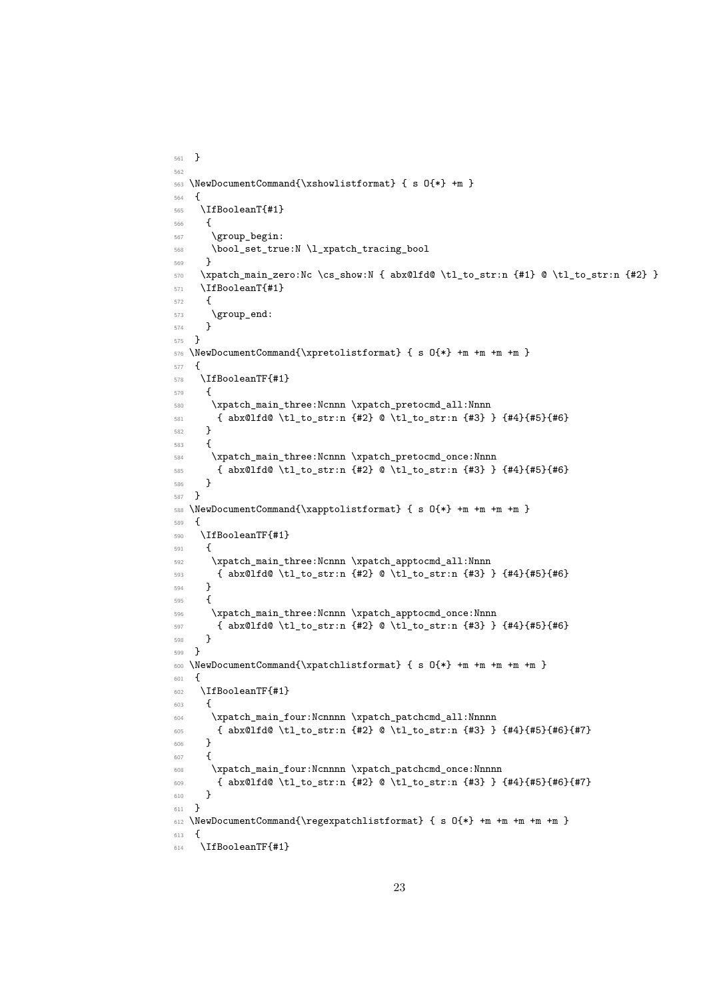```
561 }
562
563 \NewDocumentCommand{\xshowlistformat} { s O{*} +m }
564 {
565 \IfBooleanT{#1}
566 {
567 \group_begin:
568 \bool_set_true:N \l_xpatch_tracing_bool
569 }
570 \xpatch_main_zero:Nc \cs_show:N { abx@lfd@ \tl_to_str:n {#1} @ \tl_to_str:n {#2} }
571 \IfBooleanT{#1}
572 \frac{1}{2}573 \group_end:
574 }
575 }
576 \NewDocumentCommand{\xpretolistformat} { s O{*} +m +m +m +m }
577 {
578 \IfBooleanTF{#1}
579 {
580 \xpatch_main_three:Ncnnn \xpatch_pretocmd_all:Nnnn
581 { abx@lfd@ \tl_to_str:n {#2} @ \tl_to_str:n {#3} } {#4}{#5}{#6}
582 - 7583 {
584 \xpatch_main_three:Ncnnn \xpatch_pretocmd_once:Nnnn
585 { abx@lfd@ \tl_to_str:n {#2} @ \tl_to_str:n {#3} } {#4}{#5}{#6}
586 }
587 }
588 \NewDocumentCommand{\xapptolistformat} { s O{*} +m +m +m +m }
589 {
590 \IfBooleanTF{#1}
591 {
592 \xpatch_main_three:Ncnnn \xpatch_apptocmd_all:Nnnn
593 { abx@lfd@ \tl_to_str:n {#2} @ \tl_to_str:n {#3} } {#4}{#5}{#6}
594 }
595 {
596 \xpatch_main_three:Ncnnn \xpatch_apptocmd_once:Nnnn
597 { abx@lfd@ \tl_to_str:n {#2} @ \tl_to_str:n {#3} } {#4}{#5}{#6}
598 }
599 }
600 \NewDocumentCommand{\xpatchlistformat} { s O{*} +m +m +m +m +m }
601 {
602 \IfBooleanTF{#1}
603 \epsilon604 \xpatch_main_four:Ncnnnn \xpatch_patchcmd_all:Nnnnn
605 { abx@lfd@ \tl_to_str:n {#2} @ \tl_to_str:n {#3} } {#4}{#5}{#6}{#7}
606 }
607 {
608 \xpatch_main_four:Ncnnnn \xpatch_patchcmd_once:Nnnnn
609 { abx@lfd@ \tl_to_str:n {#2} @ \tl_to_str:n {#3} } {#4}{#5}{#6}{#7}
610 }
611 }
612 \NewDocumentCommand{\regexpatchlistformat} { s O{*} +m +m +m +m +m }
613 \frac{1}{2}614 \IfBooleanTF{#1}
```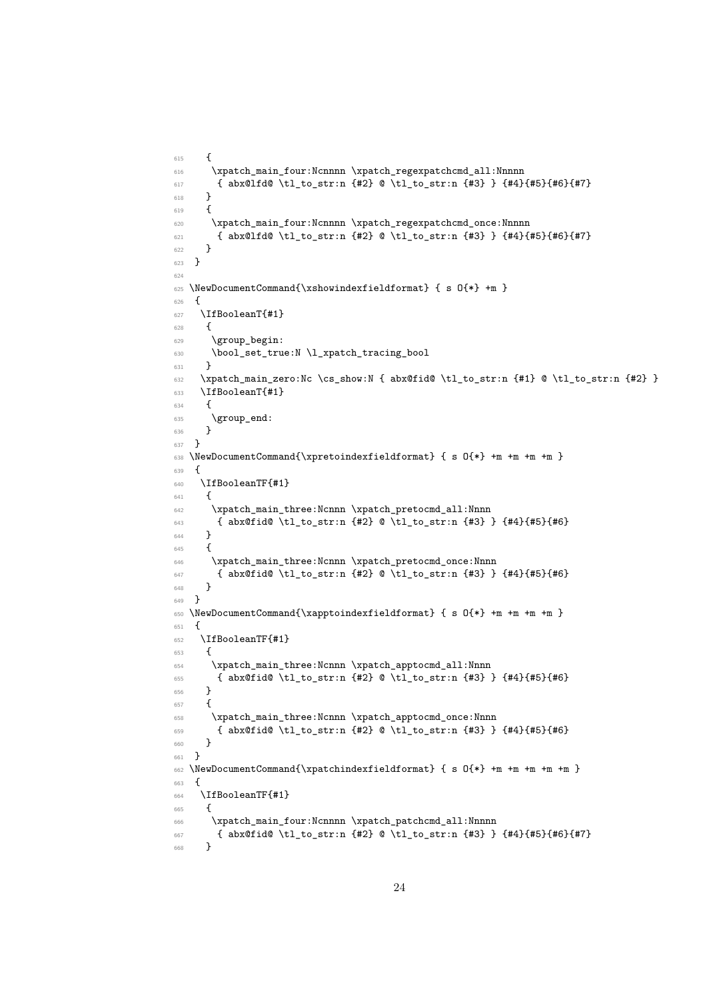```
615 {
616 \xpatch_main_four:Ncnnnn \xpatch_regexpatchcmd_all:Nnnnn
617 { abx@lfd@ \tl_to_str:n {#2} @ \tl_to_str:n {#3} } {#4}{#5}{#6}{#7}
618 }
619 {
620 \xpatch_main_four:Ncnnnn \xpatch_regexpatchcmd_once:Nnnnn
621 { abx@lfd@ \tl_to_str:n {#2} @ \tl_to_str:n {#3} } {#4}{#5}{#6}{#7}
622 }
623 }
624
625 \NewDocumentCommand{\xshowindexfieldformat} { s O{*} +m }
626 {
627 \IfBooleanT{#1}
628 {
629 \group_begin:
630 \bool_set_true:N \l_xpatch_tracing_bool
631 }
632 \xpatch_main_zero:Nc \cs_show:N { abx@fid@ \tl_to_str:n {#1} @ \tl_to_str:n {#2} }
633 \IfBooleanT{#1}
634 {
635 \group_end:
636 }
637 }
638 \NewDocumentCommand{\xpretoindexfieldformat} { s 0{*} +m +m +m +m }
639 {
640 \IfBooleanTF{#1}
641 {
642 \xpatch_main_three:Ncnnn \xpatch_pretocmd_all:Nnnn
643 { abx@fid@ \tl_to_str:n {#2} @ \tl_to_str:n {#3} } {#4}{#5}{#6}
644 }
645 {
646 \xpatch_main_three:Ncnnn \xpatch_pretocmd_once:Nnnn
647 { abx@fid@ \tl_to_str:n {#2} @ \tl_to_str:n {#3} } {#4}{#5}{#6}
648 }
649 }
650 \NewDocumentCommand{\xapptoindexfieldformat} { s O{*} +m +m +m +m }
651 \frac{1}{2}652 \IfBooleanTF{#1}
653 {
\verb|# 654| \xpatch\_main\_three: Nconn \xpatch\_apptocmd\_all: Nnnn655 { abx@fid@ \tl_to_str:n {#2} @ \tl_to_str:n {#3} } {#4}{#5}{#6}
656 }
657 \overline{f}658 \xpatch_main_three:Ncnnn \xpatch_apptocmd_once:Nnnn
659 { abx@fid@ \tl_to_str:n {#2} @ \tl_to_str:n {#3} } {#4}{#5}{#6}
660 }
661 }
662 \NewDocumentCommand{\xpatchindexfieldformat} { s O{*} +m +m +m +m +m }
663 {
664 \IfBooleanTF{#1}
665 {
666 \xpatch_main_four:Ncnnnn \xpatch_patchcmd_all:Nnnnn
667 { abx@fid@ \tl_to_str:n {#2} @ \tl_to_str:n {#3} } {#4}{#5}{#6}{#7}
668 }
```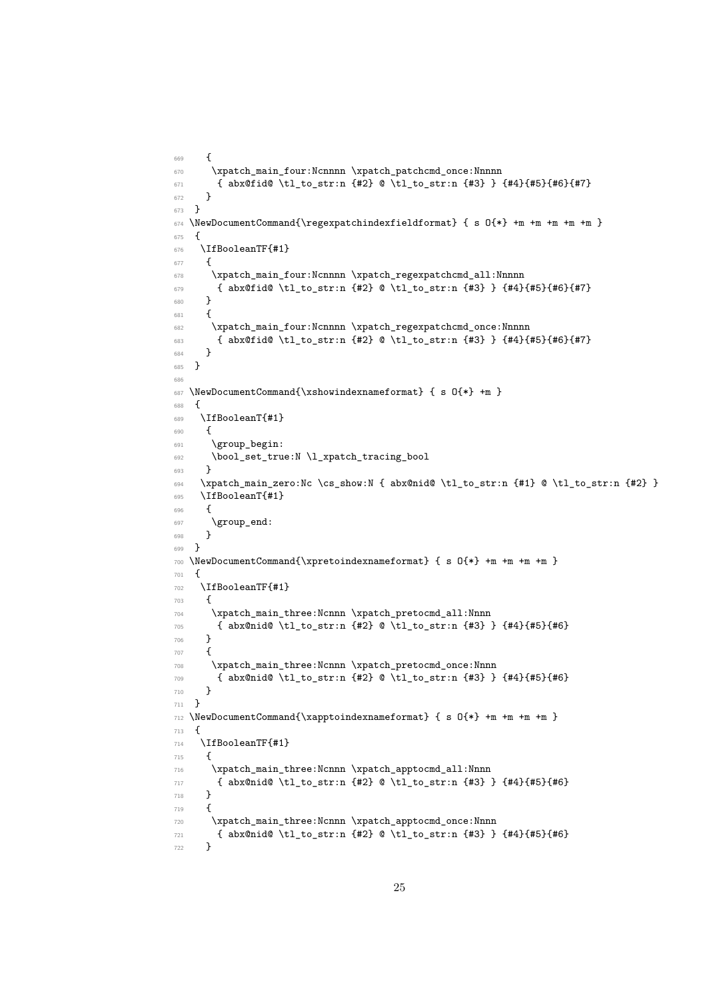```
669 - 5670 \xpatch_main_four:Ncnnnn \xpatch_patchcmd_once:Nnnnn
671 { abx@fid@ \tl_to_str:n {#2} @ \tl_to_str:n {#3} } {#4}{#5}{#6}{#7}
672 \quad \frac{1}{2}673 }
674 \NewDocumentCommand{\regexpatchindexfieldformat} { s 0{*} +m +m +m +m +m }
675 {
676 \IfBooleanTF{#1}
677 {
678 \xpatch_main_four:Ncnnnn \xpatch_regexpatchcmd_all:Nnnnn
679 { abx@fid@ \tl_to_str:n {#2} @ \tl_to_str:n {#3} } {#4}{#5}{#6}{#7}
680 }
681 {
682 \xpatch_main_four:Ncnnnn \xpatch_regexpatchcmd_once:Nnnnn
683 { abx@fid@ \tl_to_str:n {#2} @ \tl_to_str:n {#3} } {#4}{#5}{#6}{#7}
684 }
685 }
686
687 \NewDocumentCommand{\xshowindexnameformat} { s O{*} +m }
688 {
689 \IfBooleanT{#1}
\epsilon<sub>690</sub> {
691 \group_begin:
692 \bool_set_true:N \l_xpatch_tracing_bool
693 }
694 \xpatch_main_zero:Nc \cs_show:N { abx@nid@ \tl_to_str:n {#1} @ \tl_to_str:n {#2} }
695 \IfBooleanT{#1}
696 {
697 \group_end:
698 }
699 }
700 \NewDocumentCommand{\xpretoindexnameformat} { s O{*} +m +m +m +m }
701 \, \text{f}702 \IfBooleanTF{#1}
703 {
704 \xpatch_main_three:Ncnnn \xpatch_pretocmd_all:Nnnn
705 { abx@nid@ \tl_to_str:n {#2} @ \tl_to_str:n {#3} } {#4}{#5}{#6}
706 }
707 {
708 \xpatch_main_three:Ncnnn \xpatch_pretocmd_once:Nnnn
709 { abx@nid@ \tl_to_str:n {#2} @ \tl_to_str:n {#3} } {#4}{#5}{#6}
710 }
711 }
712 \NewDocumentCommand{\xapptoindexnameformat} { s O{*} +m +m +m +m }
713 \text{ }714 \IfBooleanTF{#1}
715 {
716 \xpatch_main_three:Ncnnn \xpatch_apptocmd_all:Nnnn
717 { abx@nid@ \tl_to_str:n {#2} @ \tl_to_str:n {#3} } {#4}{#5}{#6}
718 }
719 {
720 \xpatch_main_three:Ncnnn \xpatch_apptocmd_once:Nnnn
721 { abx@nid@ \tl_to_str:n {#2} @ \tl_to_str:n {#3} } {#4}{#5}{#6}
722 }
```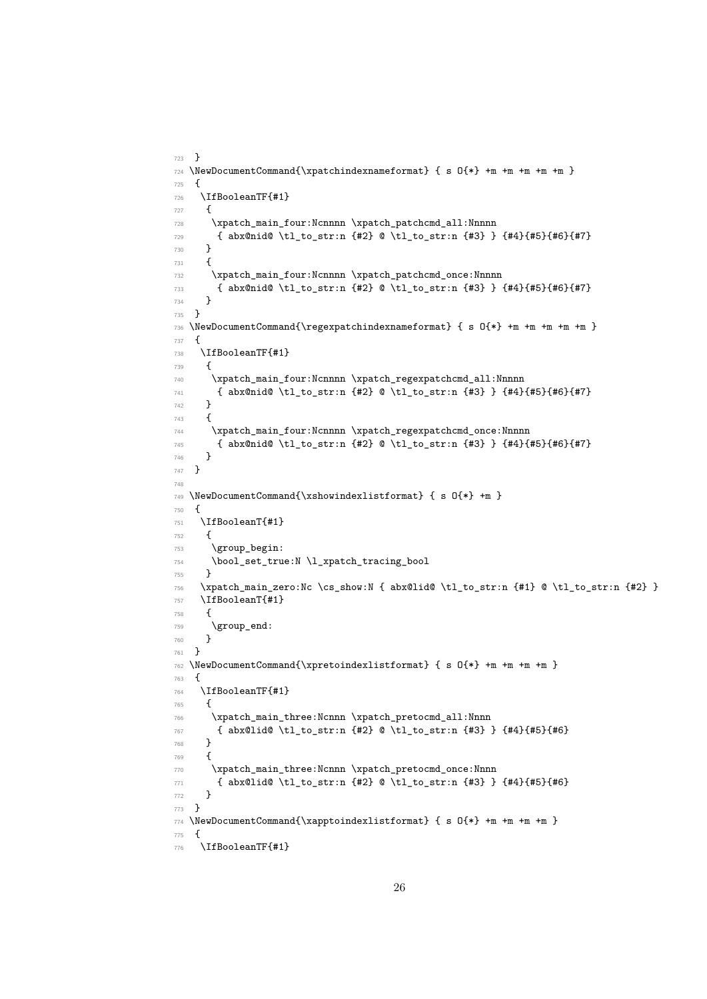```
723 }
724 \NewDocumentCommand{\xpatchindexnameformat} { s O{*} +m +m +m +m +m }
725 {
726 \IfBooleanTF{#1}
727 \frac{1}{27}728 \xpatch_main_four:Ncnnnn \xpatch_patchcmd_all:Nnnnn
729 { abx@nid@ \tl_to_str:n {#2} @ \tl_to_str:n {#3} } {#4}{#5}{#6}{#7}
730 }
731 {
732 \xpatch_main_four:Ncnnnn \xpatch_patchcmd_once:Nnnnn
733 { abx@nid@ \tl_to_str:n {#2} @ \tl_to_str:n {#3} } {#4}{#5}{#6}{#7}
734 }
735 }
736 \NewDocumentCommand{\regexpatchindexnameformat} { s O{*} +m +m +m +m +m }
737 {
738 \IfBooleanTF{#1}
739 {
740 \xpatch_main_four:Ncnnnn \xpatch_regexpatchcmd_all:Nnnnn
741 { abx@nid@ \tl_to_str:n {#2} @ \tl_to_str:n {#3} } {#4}{#5}{#6}{#7}
742 }
743 {
744 \xpatch_main_four:Ncnnnn \xpatch_regexpatchcmd_once:Nnnnn
745 { abx@nid@ \tl_to_str:n {#2} @ \tl_to_str:n {#3} } {#4}{#5}{#6}{#7}
746 }
747 }
748
749 \NewDocumentCommand{\xshowindexlistformat} { s O{*} +m }
750 {
751 \IfBooleanT{#1}
752 {
753 \group_begin:
754 \bool_set_true:N \l_xpatch_tracing_bool
755 }
756 \xpatch_main_zero:Nc \cs_show:N { abx@lid@ \tl_to_str:n {#1} @ \tl_to_str:n {#2} }
757 \IfBooleanT{#1}
758 {
759 \group_end:
760 }
761 }
762 \NewDocumentCommand{\xpretoindexlistformat} { s O{*} +m +m +m +m }
763 {
764 \IfBooleanTF{#1}
765 {
766 \xpatch_main_three:Ncnnn \xpatch_pretocmd_all:Nnnn
767 { abx@lid@ \tl_to_str:n {#2} @ \tl_to_str:n {#3} } {#4}{#5}{#6}
768 }
769 {
770 \xpatch_main_three:Ncnnn \xpatch_pretocmd_once:Nnnn
771 { abx@lid@ \tl_to_str:n {#2} @ \tl_to_str:n {#3} } {#4}{#5}{#6}
772 }
773 }
774 \NewDocumentCommand{\xapptoindexlistformat} { s O{*} +m +m +m +m }
775 {
776 \IfBooleanTF{#1}
```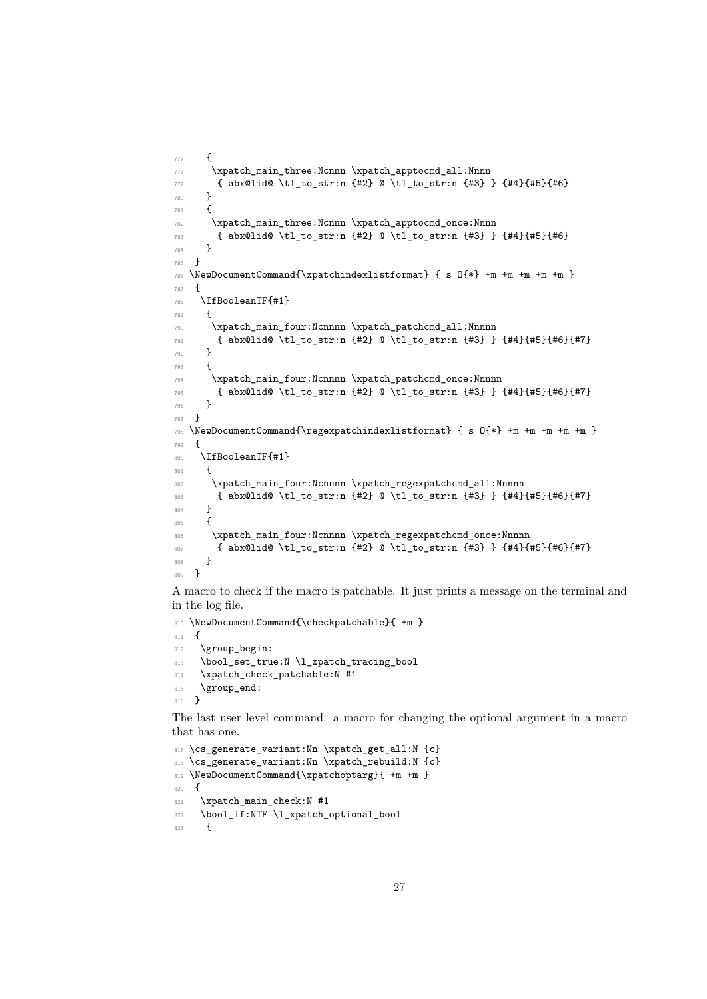```
777 {
778 \xpatch_main_three:Ncnnn \xpatch_apptocmd_all:Nnnn
779 { abx@lid@ \tl_to_str:n {#2} @ \tl_to_str:n {#3} } {#4}{#5}{#6}
780 }
781 {
782 \xpatch_main_three:Ncnnn \xpatch_apptocmd_once:Nnnn
783 { abx@lid@ \tl_to_str:n {#2} @ \tl_to_str:n {#3} } {#4}{#5}{#6}
784 }
785 }
786 \NewDocumentCommand{\xpatchindexlistformat} { s O{*} +m +m +m +m +m }
787 {
788 \IfBooleanTF{#1}
789 {
790 \xpatch_main_four:Ncnnnn \xpatch_patchcmd_all:Nnnnn
791 { abx@lid@ \tl_to_str:n {#2} @ \tl_to_str:n {#3} } {#4}{#5}{#6}{#7}
792 }
793 {
794 \xpatch_main_four:Ncnnnn \xpatch_patchcmd_once:Nnnnn
795 { abx@lid@ \tl_to_str:n {#2} @ \tl_to_str:n {#3} } {#4}{#5}{#6}{#7}
796 }
797 }
798 \NewDocumentCommand{\regexpatchindexlistformat} { s O{*} +m +m +m +m +m }
799 {
800 \IfBooleanTF{#1}
801 {
802 \xpatch_main_four:Ncnnnn \xpatch_regexpatchcmd_all:Nnnnn
803 { abx@lid@ \tl_to_str:n {#2} @ \tl_to_str:n {#3} } {#4}{#5}{#6}{#7}
804 }
805 {
806 \xpatch_main_four:Ncnnnn \xpatch_regexpatchcmd_once:Nnnnn
807 { abx@lid@ \tl_to_str:n {#2} @ \tl_to_str:n {#3} } {#4}{#5}{#6}{#7}
808 }
809 }
```
<span id="page-26-25"></span><span id="page-26-24"></span><span id="page-26-23"></span><span id="page-26-17"></span><span id="page-26-16"></span><span id="page-26-15"></span><span id="page-26-10"></span><span id="page-26-8"></span>A macro to check if the macro is patchable. It just prints a message on the terminal and in the log file.

```
810 \NewDocumentCommand{\checkpatchable}{ +m }
811 {
812 \group_begin:
813 \bool_set_true:N \l_xpatch_tracing_bool
814 \xpatch_check_patchable:N #1
815 \group_end:
816 }
```
<span id="page-26-20"></span><span id="page-26-6"></span>The last user level command: a macro for changing the optional argument in a macro that has one.

```
817 \cs_generate_variant:Nn \xpatch_get_all:N {c}
818 \cs_generate_variant:Nn \xpatch_rebuild:N {c}
819 \NewDocumentCommand{\xpatchoptarg}{ +m +m }
820 \sqrt{ }821 \xpatch_main_check:N #1
822 \bool_if:NTF \l_xpatch_optional_bool
823 \sqrt{5}
```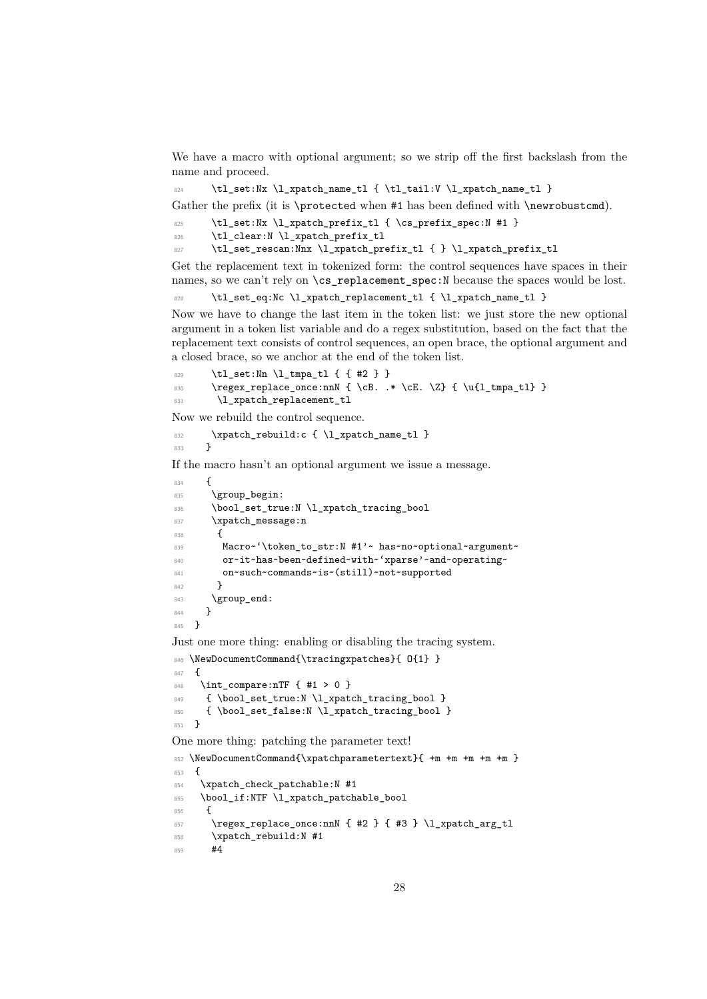We have a macro with optional argument; so we strip off the first backslash from the name and proceed.

<span id="page-27-13"></span>824 \tl\_set:Nx \l\_xpatch\_name\_tl { \tl\_tail:V \l\_xpatch\_name\_tl }

Gather the prefix (it is \protected when #1 has been defined with \newrobustcmd).

- <span id="page-27-5"></span>\tl\_set:Nx \l\_xpatch\_prefix\_tl { \cs\_prefix\_spec:N #1 }
- <span id="page-27-12"></span>826 \tl\_clear:N \l\_xpatch\_prefix\_tl
- <span id="page-27-16"></span>827 \tl\_set\_rescan:Nnx \l\_xpatch\_prefix\_tl { } \l\_xpatch\_prefix\_tl

Get the replacement text in tokenized form: the control sequences have spaces in their names, so we can't rely on \cs\_replacement\_spec:N because the spaces would be lost.

<span id="page-27-15"></span>828 \tl\_set\_eq:Nc \l\_xpatch\_replacement\_tl { \l\_xpatch\_name\_tl }

Now we have to change the last item in the token list: we just store the new optional argument in a token list variable and do a regex substitution, based on the fact that the replacement text consists of control sequences, an open brace, the optional argument and a closed brace, so we anchor at the end of the token list.

```
829 \tl set:Nn \l tmpa tl { { #2 } }
830 \regex_replace_once:nnN { \cB. .* \cE. \Z} { \u{l_tmpa_tl} }
831 \l_xpatch_replacement_tl
```
<span id="page-27-22"></span>Now we rebuild the control sequence.

<span id="page-27-20"></span> $832$  \xpatch\_rebuild:c { \l\_xpatch\_name\_tl }<br> $833$  } <sup>833</sup> }

If the macro hasn't an optional argument we issue a message.

```
834 {
835 \group_begin:
836 \bool_set_true:N \l_xpatch_tracing_bool
837 \xpatch_message:n
838 \quad 5839 Macro~'\token_to_str:N #1'~ has~no~optional~argument~
840 or~it~has~been~defined~with~'xparse'~and~operating~
841 on~such~commands~is~(still)~not~supported
842
843 \group_end:
844 }
845 }
```
<span id="page-27-7"></span>Just one more thing: enabling or disabling the tracing system.

<span id="page-27-9"></span>846 \NewDocumentCommand{\tracingxpatches}{ 0{1} }

<span id="page-27-8"></span><span id="page-27-3"></span>847 **{** 848 \int compare:nTF  ${ #1 > 0 }$ 849 { \bool\_set\_true:N \l\_xpatch\_tracing\_bool } 850 { \bool\_set\_false:N \l\_xpatch\_tracing\_bool } <sup>851</sup> }

<span id="page-27-1"></span>One more thing: patching the parameter text!

```
852 \NewDocumentCommand{\xpatchparametertext}{ +m +m +m +m +m }
853 {
854 \xpatch_check_patchable:N #1
855 \bool_if:NTF \l_xpatch_patchable_bool
856 {
857 \regex_replace_once:nnN { #2 } { #3 } \l_xpatch_arg_tl
858 \xpatch_rebuild:N #1
859 #4
```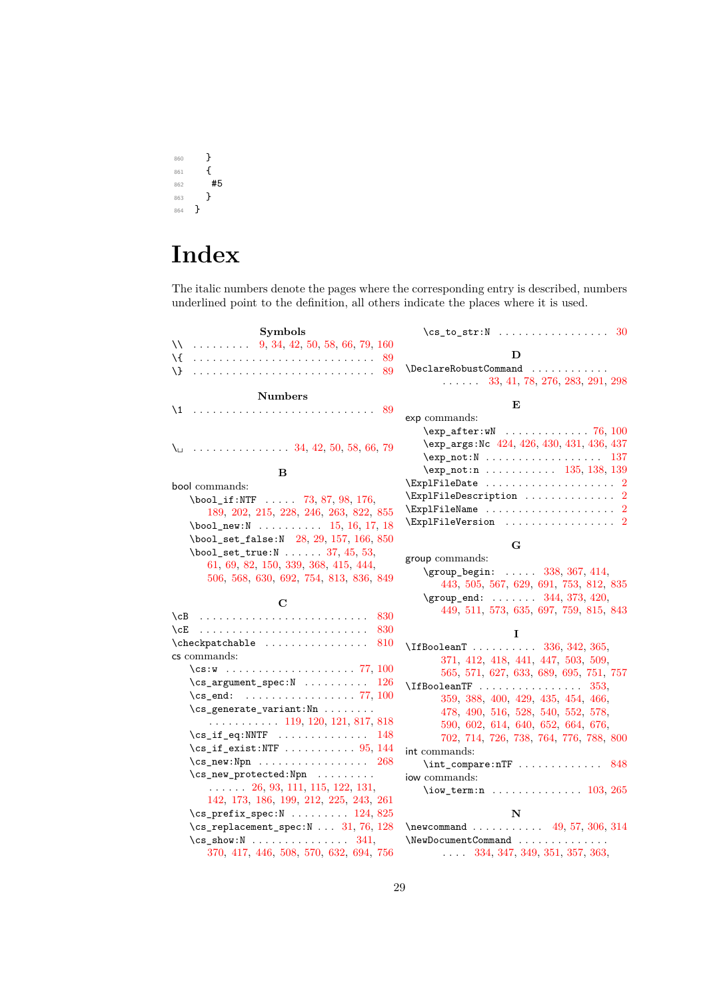$\begin{matrix} & & & \\ 860 && \textbf{1} \\ & 861 && \textbf{1} \end{matrix}$ <sup>861</sup> { #5<br>}  $\begin{matrix} 863 \\ 864 \end{matrix}$ <sup>864</sup> }

# **Index**

The italic numbers denote the pages where the corresponding entry is described, numbers underlined point to the definition, all others indicate the places where it is used.

| <b>Symbols</b>                                                                                 | 30<br>$\cs$ to str:N                                                    |
|------------------------------------------------------------------------------------------------|-------------------------------------------------------------------------|
| $\sqrt{24}$ 9, 34, 42, 50, 58, 66, 79, 160                                                     |                                                                         |
| \{<br>-89                                                                                      | D                                                                       |
| Л.                                                                                             | \DeclareRobustCommand                                                   |
|                                                                                                | $\ldots$ $\ldots$ 33, 41, 78, 276, 283, 291, 298                        |
| <b>Numbers</b>                                                                                 | E                                                                       |
| $\backslash$ 1                                                                                 | exp commands:                                                           |
|                                                                                                | $\exp_{after:wN}$ 76, 100                                               |
|                                                                                                | \exp_args:Nc 424, 426, 430, 431, 436, 437                               |
| $\setminus$ 34, 42, 50, 58, 66, 79                                                             |                                                                         |
|                                                                                                | \exp_not:n 135, 138, 139                                                |
| в                                                                                              | $\verb \ExplFileDate            2$                                      |
| bool commands:                                                                                 | $\verb+\Exp1FileDescription~~.\dots\dots\dots\ 2$                       |
| $\text{bool}_if : NTF \dots 73, 87, 98, 176,$                                                  | $\verb \ExplFileName     2$                                             |
| 189, 202, 215, 228, 246, 263, 822, 855                                                         | $\verb \ExplFileVersion        2$                                       |
| $\boldsymbol{\lambda}$ bool_new:N  15, 16, 17, 18                                              |                                                                         |
| \bool_set_false:N 28, 29, 157, 166, 850<br>$\boldsymbol{\lambda}$ bool_set_true:N  37, 45, 53, | G                                                                       |
| 61, 69, 82, 150, 339, 368, 415, 444,                                                           | group commands:                                                         |
| 506, 568, 630, 692, 754, 813, 836, 849                                                         | $\qquad \qquad \qquad 338, 367, 414,$                                   |
|                                                                                                | 443, 505, 567, 629, 691, 753, 812, 835                                  |
|                                                                                                |                                                                         |
| C                                                                                              | $\qquad \qquad \text{group\_end: } \ldots \ldots \qquad 344, 373, 420,$ |
|                                                                                                | 449, 511, 573, 635, 697, 759, 815, 843                                  |
| 830<br>$\setminus$ cB<br>830                                                                   |                                                                         |
| 810                                                                                            | L                                                                       |
| $\label{check}$ $\label{check}$ $\checkpatchable$<br>cs commands:                              | \IfBooleanT  336, 342, 365,                                             |
|                                                                                                | 371, 412, 418, 441, 447, 503, 509,                                      |
| $\cs{2}$ \cs_argument_spec:N  126                                                              | 565, 571, 627, 633, 689, 695, 751, 757                                  |
| $\cs{c}$<br>. 77, 100                                                                          | $\Lambda$ TfBooleanTF 353,                                              |
| \cs_generate_variant:Nn                                                                        | 359, 388, 400, 429, 435, 454, 466,                                      |
| $\ldots \ldots \ldots 119, 120, 121, 817, 818$                                                 | 478, 490, 516, 528, 540, 552, 578,                                      |
| $\cs[if_eq:NNTF \dots \dots \dots \ 148]$                                                      | 590, 602, 614, 640, 652, 664, 676,                                      |
| $\cs[if\_exist:NTF \dots \dots \dots \ 95, 144]$                                               | 702, 714, 726, 738, 764, 776, 788, 800                                  |
| $\csc_new: Npn \ldots \ldots \ldots \ldots$<br>-268                                            | int commands:<br>848                                                    |
| $\csc_{new\_protected: Npn} \ldots \ldots$                                                     | $\int_{\text{compare: nTF}} \ldots \ldots \ldots$<br>iow commands:      |
| $\ldots$ 26, 93, 111, 115, 122, 131,                                                           | \iow_term:n $103, 265$                                                  |
| 142, 173, 186, 199, 212, 225, 243, 261                                                         |                                                                         |
| $\csc_p$ prefix_spec:N  124, 825                                                               | N                                                                       |
| $\csc$ -replacement_spec:N  31, 76, 128                                                        | $\neq 57, 306, 314$                                                     |
| $\csc$ show:N  341,<br>370, 417, 446, 508, 570, 632, 694, 756                                  | \NewDocumentCommand<br>$\ldots$ 334, 347, 349, 351, 357, 363,           |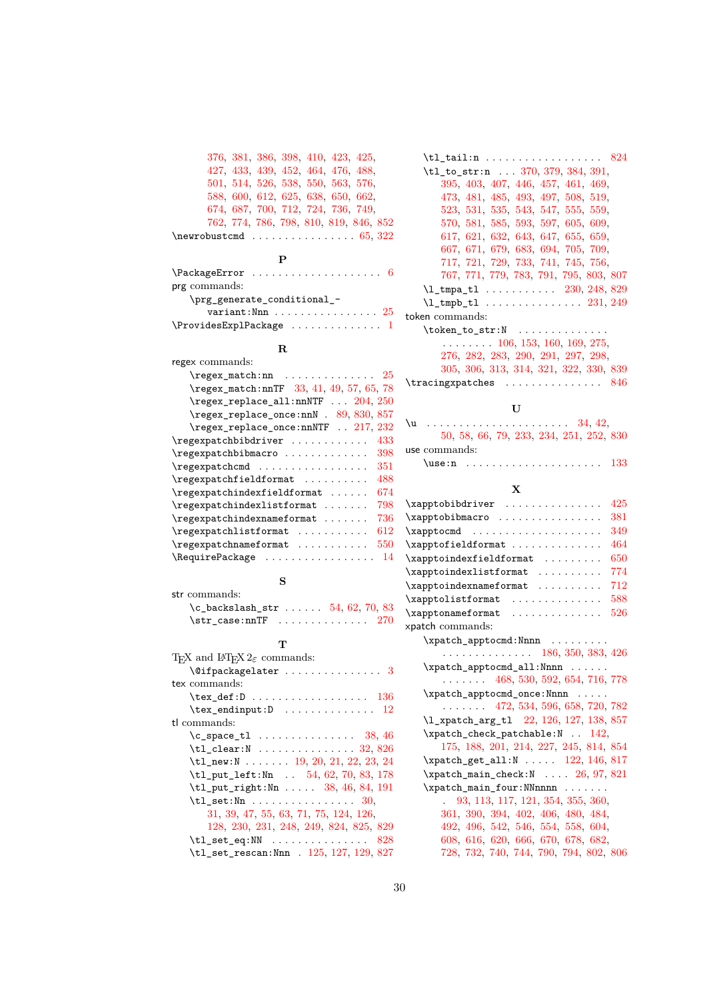|                                        |  | 376, 381, 386, 398, 410, 423, 425, |  |
|----------------------------------------|--|------------------------------------|--|
| 427, 433, 439, 452, 464, 476, 488,     |  |                                    |  |
| 501, 514, 526, 538, 550, 563, 576,     |  |                                    |  |
| 588, 600, 612, 625, 638, 650, 662,     |  |                                    |  |
| 674, 687, 700, 712, 724, 736, 749,     |  |                                    |  |
| 762, 774, 786, 798, 810, 819, 846, 852 |  |                                    |  |
|                                        |  |                                    |  |

## **P**

| prg commands:                                        |
|------------------------------------------------------|
| \prg_generate_conditional_-                          |
| variant: Nnn $\ldots \ldots \ldots \ldots \ldots 25$ |
| $\ProvidesExp1Package     1$                         |

# **R**

| regex commands:                           |
|-------------------------------------------|
| $\text{regex\_match:nn$ 25                |
| \regex_match:nnTF 33, 41, 49, 57, 65, 78  |
| \regex_replace_all:nnNTF  204, 250        |
| \regex_replace_once:nnN . 89, 830, 857    |
| \regex_replace_once:nnNTF  217, 232       |
| \regexpatchbibdriver<br>433               |
| $\regexpatchbibmacro$<br>398              |
| \regexpatchcmd<br>351                     |
| \regexpatchfieldformat<br>488             |
| \regexpatchindexfieldformat<br>674        |
| $\regexpatchindexlistformat$<br>798       |
| $\ref{regexpatchindexnameformat  $<br>736 |
| \regexpatchlistformat<br>612              |
| \regexpatchnameformat<br>550              |
| \RequirePackage<br>14                     |
|                                           |

| str commands:                               |  |
|---------------------------------------------|--|
| $c_{\text{backslash}}$ $str$ 54, 62, 70, 83 |  |
| \str case:nnTF $\ldots \ldots \ldots 270$   |  |

**S**

# **T**

| T <sub>F</sub> X and IAT <sub>F</sub> X $2\varepsilon$ commands: |
|------------------------------------------------------------------|
| $\setminus$ @ifpackagelater  3                                   |
| tex commands:                                                    |
| $\texttt{text\_def:D} \dots \dots \dots \dots \dots \ 136$       |
| $\texttt{text\_endinput:D}$ 12                                   |
| tl commands:                                                     |
| $\c$ space tl  38, 46                                            |
| $\texttt{tl}_\texttt{clear:N}$ 32,826                            |
| \tl_new:N 19, 20, 21, 22, 23, 24                                 |
| \tl_put_left:Nn  54, 62, 70, 83, 178                             |
| $\tilde{L}_p$ ut_right:Nn  38, 46, 84, 191                       |
| $\texttt{tl\_set:Nn} \dots \dots \dots \dots \dots 30,$          |
| 31, 39, 47, 55, 63, 71, 75, 124, 126,                            |
| 128, 230, 231, 248, 249, 824, 825, 829                           |
| $\texttt{tl}_\texttt{set}_\texttt{eq}:NN$ 828                    |
| \tl_set_rescan:Nnn . 125, 127, 129, 827                          |

| $\tilde{z}_1$ . $\tilde{z}_2$ . $\tilde{z}_3$ . $\tilde{z}_4$ . $\tilde{z}_5$ . $\tilde{z}_2$ . $\tilde{z}_3$ . $\tilde{z}_4$ . $\tilde{z}_5$ . $\tilde{z}_2$ . $\tilde{z}_3$ . $\tilde{z}_4$ . $\tilde{z}_5$ . $\tilde{z}_6$ . $\tilde{z}_7$ . $\tilde{z}_8$ . $\tilde{z}_9$ . $\tilde{z}_1$ . $\tilde{z}_2$ . $\tilde{z}_3$ . |
|---------------------------------------------------------------------------------------------------------------------------------------------------------------------------------------------------------------------------------------------------------------------------------------------------------------------------------|
| $\tilde{\tau}$ . $370, 379, 384, 391,$                                                                                                                                                                                                                                                                                          |
| 395, 403, 407, 446, 457, 461, 469,                                                                                                                                                                                                                                                                                              |
| 473, 481, 485, 493, 497, 508, 519,                                                                                                                                                                                                                                                                                              |
| 523, 531, 535, 543, 547, 555, 559,                                                                                                                                                                                                                                                                                              |
| 570, 581, 585, 593, 597, 605, 609,                                                                                                                                                                                                                                                                                              |
| 617, 621, 632, 643, 647, 655, 659,                                                                                                                                                                                                                                                                                              |
| 667, 671, 679, 683, 694, 705, 709,                                                                                                                                                                                                                                                                                              |
| 717, 721, 729, 733, 741, 745, 756,                                                                                                                                                                                                                                                                                              |
| 767, 771, 779, 783, 791, 795, 803, 807                                                                                                                                                                                                                                                                                          |
| $\lceil 1 \cdot 230 \rceil$ , 248, 829                                                                                                                                                                                                                                                                                          |
|                                                                                                                                                                                                                                                                                                                                 |
| token commands:                                                                                                                                                                                                                                                                                                                 |
| $\text{token_to_str:N}$                                                                                                                                                                                                                                                                                                         |
| $\ldots \ldots \ldots 106, 153, 160, 169, 275,$                                                                                                                                                                                                                                                                                 |
| 276, 282, 283, 290, 291, 297, 298,                                                                                                                                                                                                                                                                                              |
| 305 306 313 314 301 300 330 830                                                                                                                                                                                                                                                                                                 |

|                              | 276, 282, 283, 290, 291, 297, 298,     |  |  |  |
|------------------------------|----------------------------------------|--|--|--|
|                              | 305, 306, 313, 314, 321, 322, 330, 839 |  |  |  |
| $\tau$ \tracingxpatches  846 |                                        |  |  |  |

# **U**

| \u                                      |  |
|-----------------------------------------|--|
| 50, 58, 66, 79, 233, 234, 251, 252, 830 |  |
| use commands:                           |  |
|                                         |  |

## **X**

| 425<br>\xapptobibdriver                                 |
|---------------------------------------------------------|
| 381<br>\xapptobibmacro                                  |
| 349<br>\xapptocmd                                       |
| 464<br>\xapptofieldformat                               |
| 650<br>\xapptoindexfieldformat                          |
| 774<br>\xapptoindexlistformat                           |
| 712<br>\xapptoindexnameformat                           |
| 588<br>\xapptolistformat                                |
| 526<br>\xapptonameformat                                |
| xpatch commands:                                        |
| \xpatch_apptocmd:Nnnn                                   |
| $\ldots \ldots \ldots \ldots \ldots$ 186, 350, 383, 426 |
| \xpatch_apptocmd_all:Nnnn                               |
| $\ldots \ldots 468, 530, 592, 654, 716, 778$            |
| \xpatch_apptocmd_once:Nnnn                              |
| $\ldots \ldots 472, 534, 596, 658, 720, 782$            |
| \1_xpatch_arg_t1 22, 126, 127, 138, 857                 |
| \xpatch_check_patchable:N  142,                         |
| 175, 188, 201, 214, 227, 245, 814, 854                  |
| \xpatch_get_all:N  122, 146, 817                        |
| $\x$ patch_main_check:N  26, 97, 821                    |
| \xpatch_main_four:NNnnnn                                |
| 93, 113, 117, 121, 354, 355, 360,                       |
| 361, 390, 394, 402, 406, 480, 484,                      |
| 492, 496, 542, 546, 554, 558, 604,                      |
| 608, 616, 620, 666, 670, 678, 682,                      |
| 728, 732, 740, 744, 790, 794, 802, 806                  |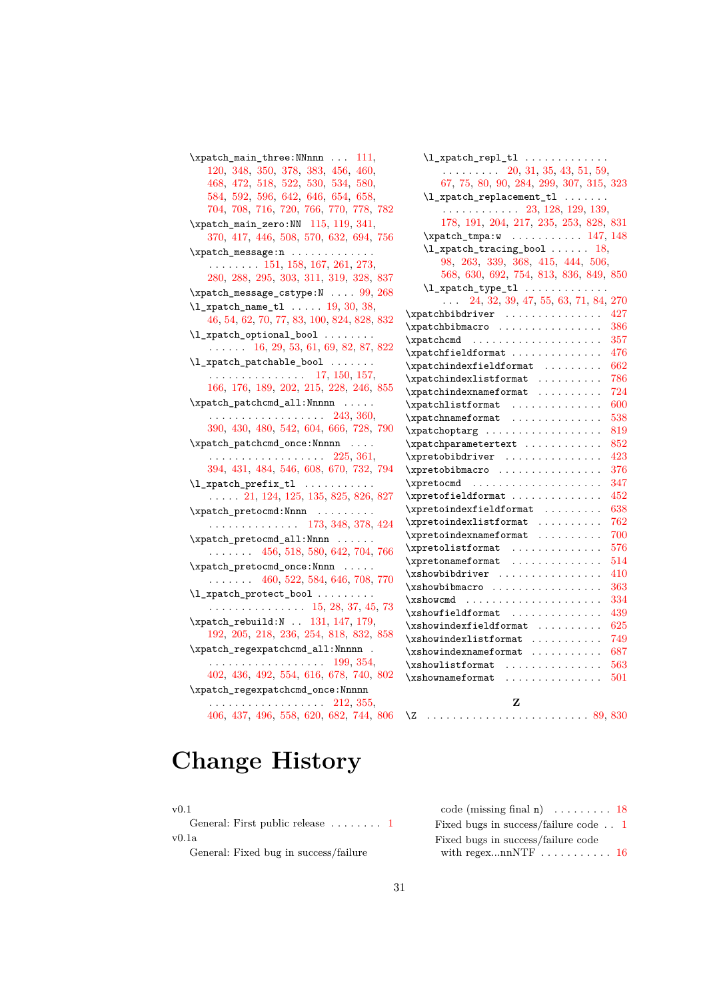```
111,
   120, 348, 350, 378, 383, 456, 460,
   468, 472, 518, 522, 530, 534, 580,
   584, 592, 596, 642, 646, 654, 658,
   704, 708, 716, 720, 766, 770, 778, 782
\xpatch_main_zero:NN 115, 119, 341,
   370, 417, 446, 508, 570, 632, 694, 756
\xpatch_message:n . . . . . . . . . . . . .
    . . . . . . . . 151, 158, 167, 261, 273,
   280, 288, 295, 303, 311, 319, 328, 837
\xpatch_message_cstype:N . . . . 99, 268
19,30,38,
   46, 54, 62, 70, 77, 83, 100, 824, 828, 832
\l_xpatch_optional_bool . . . . . . .
   . . . . . . 16, 29, 53, 61, 69, 82, 87, 822
\l_xpatch_patchable_bool . . . . . . .
    . . . . . . . . . . . . . . . 17, 150, 157,
   166, 176, 189, 202, 215, 228, 246, 855
\xpatch_patchcmd_all:Nnnnn . . . . .
   . . . . . . . . . . . . . . . . . . 243, 360,
   390, 430, 480, 542, 604, 666, 728, 790
\xpatch_patchcmd_once:Nnnnn . . . .
   . . . . . . . . . . . . . . . . . . 225, 361,
   394, 431, 484, 546, 608, 670, 732, 794
\l_xpatch_prefix_tl . . . . . . . . . . .
   . . . . . 21, 124, 125, 135, 825, 826, 827
\xpatch_pretocmd:Nnnn . . . . . . . . .
   . . . . . . . . . . . . . . 173, 348, 378, 424
\xpatch_pretocmd_all:Nnnn . . . . . .
   . . . . . . . 456, 518, 580, 642, 704, 766
\xpatch_pretocmd_once:Nnnn . . . . .
   . . . . . . . 460, 522, 584, 646, 708, 770
\l_xpatch_protect_bool . . . . . . . .
   . . . . . . . . . . . . . . . 15, 28, 37, 45, 73
131,147,179,
   192, 205, 218, 236, 254, 818, 832, 858
\xpatch_regexpatchcmd_all:Nnnnn .
    . . . . . . . . . . . . . . . . . . 199, 354,
   402, 436, 492, 554, 616, 678, 740, 802
\xpatch_regexpatchcmd_once:Nnnnn
    . . . . . . . . . . . . . . . . . . 212, 355,
   406, 437, 496, 558, 620, 682, 744, 806
```

| $\ldots \ldots \ldots 20, 31, 35, 43, 51, 59,$      |     |
|-----------------------------------------------------|-----|
| 67, 75, 80, 90, 284, 299, 307, 315, 323             |     |
| $\lceil \frac{1 \cdot 1 - \ldots}{1} \rceil$        |     |
| $\cdots$ 23, 128, 129, 139,                         |     |
| 178, 191, 204, 217, 235, 253, 828, 831              |     |
| $\sqrt{xpatch\_tmpa:w , x. 147, 148}$               |     |
| $\lceil \frac{1 \cdot 1 \cdot 1}{1 \cdot 1} \rceil$ |     |
| 98, 263, 339, 368, 415, 444, 506,                   |     |
| 568, 630, 692, 754, 813, 836, 849, 850              |     |
|                                                     |     |
| $\ldots$ 24, 32, 39, 47, 55, 63, 71, 84, 270        |     |
|                                                     | 427 |
| \xpatchbibmacro                                     | 386 |
| \xpatchcmd                                          | 357 |
| $\xpatchfield format \dots \dots \dots \dots$       | 476 |
| $\x$ patchindexfieldformat                          | 662 |
| $\xpatchindexlistformat \dots \dots$                | 786 |
| $\xpatchindexnameformat \dots \dots$                | 724 |
| $\verb \xpatchlistformat        $                   | 600 |
| \xpatchnameformat                                   | 538 |
| \xpatchoptarg                                       | 819 |
| \xpatchparametertext                                | 852 |
| \xpretobibdriver                                    | 423 |
| \xpretobibmacro                                     | 376 |
| \xpretocmd                                          | 347 |
| \xpretofieldformat                                  | 452 |
| $\xpreleftoidext{ieldformat} \dots \dots$           | 638 |
| \xpretoindexlistformat                              | 762 |
| $\xpreleftoidexnameformat \dots \dots \dots$        | 700 |
|                                                     | 576 |
| \xpretolistformat<br>\xpretonameformat              | 514 |
| \xshowbibdriver                                     | 410 |
| \xshowbibmacro                                      | 363 |
| $xshowcmd \dots \dots \dots \dots \dots \dots$      | 334 |
| $\xi$ showfieldformat                               | 439 |
| $\xi$ xshowindexfieldformat                         | 625 |
|                                                     | 749 |
|                                                     | 687 |
| \xshowlistformat                                    | 563 |
| $x$ shownameformat                                  | 501 |
| Z                                                   |     |
| $\setminus Z$                                       |     |

# **Change History**

| œ | ٦<br>×<br>I |  |
|---|-------------|--|

General: First public release . . . . . . . . [1](#page-0-0) v0.1a

General: Fixed bug in success/failure

| code (missing final $n$ )  18                |  |
|----------------------------------------------|--|
| Fixed bugs in success/failure code $\dots$ 1 |  |
| Fixed bugs in success/failure code           |  |
|                                              |  |